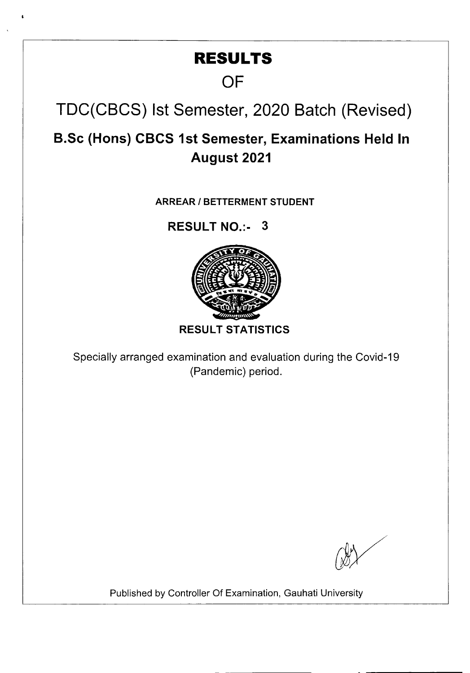# **RESULTS**

# **OF**

TDC(CBCS) 1st Semester, 2020 Batch (Revised)

**B.Sc (Hons) CBCS 1st Semester, Examinations Held In August 2021** 

**ARREAR I BETTERMENT STUDENT** 

**RESULT NO.:- 3** 



**RESULT STATISTICS** 

Specially arranged examination and evaluation during the Covid-19 (Pandemic) period.

Published by Controller Of Examination, Gauhati University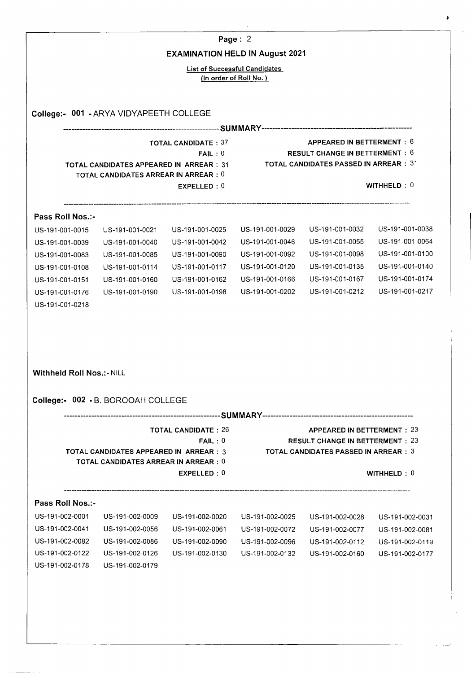|                                  |                                               |                                        | Page: 2                              |                                                                                        |                 |
|----------------------------------|-----------------------------------------------|----------------------------------------|--------------------------------------|----------------------------------------------------------------------------------------|-----------------|
|                                  |                                               | <b>EXAMINATION HELD IN August 2021</b> |                                      |                                                                                        |                 |
|                                  |                                               |                                        | <b>List of Successful Candidates</b> |                                                                                        |                 |
|                                  |                                               |                                        | (In order of Roll No.)               |                                                                                        |                 |
|                                  |                                               |                                        |                                      |                                                                                        |                 |
|                                  |                                               |                                        |                                      |                                                                                        |                 |
|                                  | College:- 001 - ARYA VIDYAPEETH COLLEGE       |                                        |                                      |                                                                                        |                 |
|                                  |                                               |                                        |                                      |                                                                                        |                 |
|                                  |                                               | <b>TOTAL CANDIDATE: 37</b>             |                                      | APPEARED IN BETTERMENT: 6<br><b>RESULT CHANGE IN BETTERMENT: 6</b>                     |                 |
|                                  | TOTAL CANDIDATES APPEARED IN ARREAR : 31      | FAIL:0                                 |                                      | <b>TOTAL CANDIDATES PASSED IN ARREAR : 31</b>                                          |                 |
|                                  | <b>TOTAL CANDIDATES ARREAR IN ARREAR : 0</b>  |                                        |                                      |                                                                                        |                 |
|                                  |                                               | EXPELLED: 0                            |                                      |                                                                                        | WITHHELD: $0$   |
|                                  |                                               |                                        |                                      |                                                                                        |                 |
| Pass Roll Nos.:-                 |                                               |                                        |                                      |                                                                                        |                 |
| US-191-001-0015                  | US-191-001-0021                               | US-191-001-0025                        | US-191-001-0029                      | US-191-001-0032                                                                        | US-191-001-0038 |
| US-191-001-0039                  | US-191-001-0040                               | US-191-001-0042                        | US-191-001-0046                      | US-191-001-0055                                                                        | US-191-001-0064 |
| US-191-001-0083                  | US-191-001-0085                               | US-191-001-0090                        | US-191-001-0092                      | US-191-001-0098                                                                        | US-191-001-0100 |
| US-191-001-0108                  | US-191-001-0114                               | US-191-001-0117                        | US-191-001-0120                      | US-191-001-0135                                                                        | US-191-001-0140 |
| US-191-001-0151                  | US-191-001-0160                               | US-191-001-0162                        | US-191-001-0166                      | US-191-001-0167                                                                        | US-191-001-0174 |
| US-191-001-0176                  | US-191-001-0190                               | US-191-001-0198                        | US-191-001-0202                      | US-191-001-0212                                                                        | US-191-001-0217 |
| US-191-001-0218                  |                                               |                                        |                                      |                                                                                        |                 |
|                                  |                                               |                                        |                                      |                                                                                        |                 |
|                                  |                                               |                                        |                                      |                                                                                        |                 |
|                                  |                                               |                                        |                                      |                                                                                        |                 |
|                                  |                                               |                                        |                                      |                                                                                        |                 |
| <b>Withheld Roll Nos.:- NILL</b> |                                               |                                        |                                      |                                                                                        |                 |
|                                  |                                               |                                        |                                      |                                                                                        |                 |
|                                  |                                               |                                        |                                      |                                                                                        |                 |
|                                  | College:- 002 - B. BOROOAH COLLEGE            |                                        |                                      |                                                                                        |                 |
|                                  |                                               |                                        |                                      |                                                                                        |                 |
|                                  |                                               | <b>TOTAL CANDIDATE: 26</b>             |                                      | <b>APPEARED IN BETTERMENT: 23</b>                                                      |                 |
|                                  | <b>TOTAL CANDIDATES APPEARED IN ARREAR: 3</b> | FAIL:0                                 |                                      | <b>RESULT CHANGE IN BETTERMENT: 23</b><br><b>TOTAL CANDIDATES PASSED IN ARREAR : 3</b> |                 |
|                                  | TOTAL CANDIDATES ARREAR IN ARREAR: 0          |                                        |                                      |                                                                                        |                 |
|                                  |                                               | EXPELLED: 0                            |                                      |                                                                                        | WITHHELD $: 0$  |
|                                  |                                               |                                        |                                      |                                                                                        |                 |
| Pass Roll Nos.:-                 |                                               |                                        |                                      |                                                                                        |                 |
| US-191-002-0001                  | US-191-002-0009                               | US-191-002-0020                        | US-191-002-0025                      | US-191-002-0028                                                                        | US-191-002-0031 |
| US-191-002-0041                  | US-191-002-0056                               | US-191-002-0061                        | US-191-002-0072                      | US-191-002-0077                                                                        | US-191-002-0081 |
| US-191-002-0082                  | US-191-002-0086                               | US-191-002-0090                        | US-191-002-0096                      | US-191-002-0112                                                                        | US-191-002-0119 |
| US-191-002-0122                  | US-191-002-0126                               | US-191-002-0130                        | US-191-002-0132                      | US-191-002-0160                                                                        | US-191-002-0177 |
| US-191-002-0178                  | US-191-002-0179                               |                                        |                                      |                                                                                        |                 |
|                                  |                                               |                                        |                                      |                                                                                        |                 |
|                                  |                                               |                                        |                                      |                                                                                        |                 |
|                                  |                                               |                                        |                                      |                                                                                        |                 |

 $\ddot{\phantom{0}}$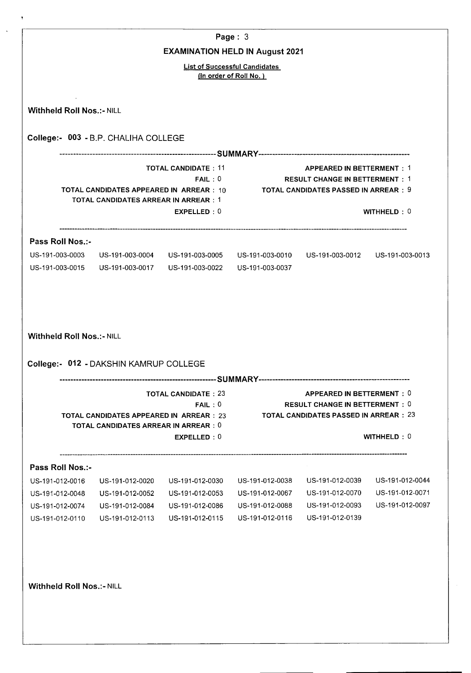| <b>EXAMINATION HELD IN August 2021</b><br><b>List of Successful Candidates</b>                                                                                                                                                             |  |
|--------------------------------------------------------------------------------------------------------------------------------------------------------------------------------------------------------------------------------------------|--|
|                                                                                                                                                                                                                                            |  |
|                                                                                                                                                                                                                                            |  |
| (In order of Roll No.)                                                                                                                                                                                                                     |  |
| <b>Withheld Roll Nos.:- NILL</b>                                                                                                                                                                                                           |  |
| College:- 003 - B.P. CHALIHA COLLEGE                                                                                                                                                                                                       |  |
|                                                                                                                                                                                                                                            |  |
| <b>TOTAL CANDIDATE: 11</b><br><b>APPEARED IN BETTERMENT: 1</b><br>FAIL:0<br><b>RESULT CHANGE IN BETTERMENT: 1</b><br>TOTAL CANDIDATES APPEARED IN ARREAR: 10 TOTAL CANDIDATES PASSED IN ARREAR: 9<br>TOTAL CANDIDATES ARREAR IN ARREAR : 1 |  |
| WITHHELD: 0<br>EXPELLED: 0                                                                                                                                                                                                                 |  |
| Pass Roll Nos.:-                                                                                                                                                                                                                           |  |
| US-191-003-0003 US-191-003-0004 US-191-003-0005 US-191-003-0010 US-191-003-0012 US-191-003-0013                                                                                                                                            |  |
| US-191-003-0015<br>US-191-003-0017  US-191-003-0022<br>US-191-003-0037                                                                                                                                                                     |  |
|                                                                                                                                                                                                                                            |  |
| <b>TOTAL CANDIDATE: 23</b><br>APPEARED IN BETTERMENT: 0<br><b>RESULT CHANGE IN BETTERMENT: 0</b><br>FAIL:0                                                                                                                                 |  |
| <b>TOTAL CANDIDATES PASSED IN ARREAR : 23</b><br>TOTAL CANDIDATES APPEARED IN ARREAR : 23<br><b>TOTAL CANDIDATES ARREAR IN ARREAR: 0</b>                                                                                                   |  |
| WITHHELD: $0$<br>EXPELLED: 0                                                                                                                                                                                                               |  |
|                                                                                                                                                                                                                                            |  |
| US-191-012-0039<br>US-191-012-0044<br>US-191-012-0030<br>US-191-012-0038<br>US-191-012-0020                                                                                                                                                |  |
| US-191-012-0070<br>US-191-012-0071<br>US-191-012-0052<br>US-191-012-0053<br>US-191-012-0067                                                                                                                                                |  |
| US-191-012-0093<br>US-191-012-0097<br>US-191-012-0086<br>US-191-012-0088<br>US-191-012-0084                                                                                                                                                |  |
| US-191-012-0139<br>US-191-012-0115<br>US-191-012-0116<br>US-191-012-0113                                                                                                                                                                   |  |
|                                                                                                                                                                                                                                            |  |
| College: 012 - DAKSHIN KAMRUP COLLEGE<br>Pass Roll Nos.:-<br>US-191-012-0016<br>US-191-012-0048<br>US-191-012-0074<br>US-191-012-0110<br><b>Withheld Roll Nos.:- NILL</b>                                                                  |  |
|                                                                                                                                                                                                                                            |  |

 $\ddot{\phantom{1}}$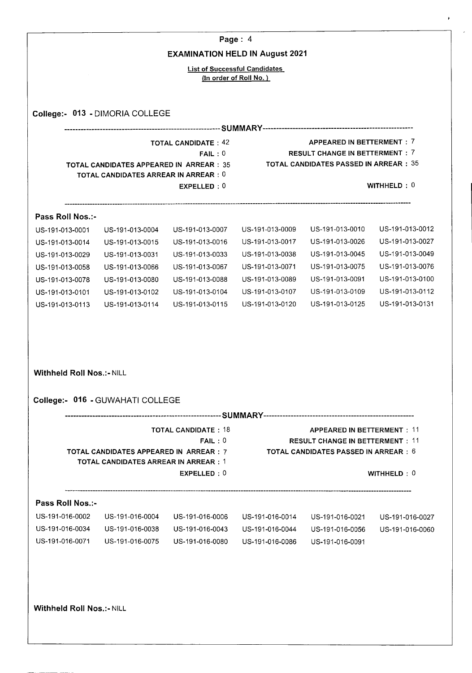|                                     |                                                                                                |                                                                | Page: $4$                          |                                                                                                                             |                                    |
|-------------------------------------|------------------------------------------------------------------------------------------------|----------------------------------------------------------------|------------------------------------|-----------------------------------------------------------------------------------------------------------------------------|------------------------------------|
|                                     |                                                                                                | <b>EXAMINATION HELD IN August 2021</b>                         |                                    |                                                                                                                             |                                    |
|                                     |                                                                                                | <b>List of Successful Candidates</b><br>(In order of Roll No.) |                                    |                                                                                                                             |                                    |
|                                     | College:- 013 - DIMORIA COLLEGE                                                                |                                                                |                                    |                                                                                                                             |                                    |
|                                     |                                                                                                |                                                                |                                    |                                                                                                                             |                                    |
|                                     |                                                                                                | <b>TOTAL CANDIDATE: 42</b>                                     |                                    | APPEARED IN BETTERMENT: 7                                                                                                   |                                    |
|                                     | <b>TOTAL CANDIDATES APPEARED IN ARREAR: 35</b><br><b>TOTAL CANDIDATES ARREAR IN ARREAR : 0</b> | FAIL:0                                                         |                                    | <b>RESULT CHANGE IN BETTERMENT: 7</b><br><b>TOTAL CANDIDATES PASSED IN ARREAR: 35</b>                                       |                                    |
|                                     |                                                                                                | EXPELLED: 0                                                    |                                    |                                                                                                                             | WITHHELD: 0                        |
| Pass Roll Nos.:-                    |                                                                                                |                                                                |                                    |                                                                                                                             |                                    |
| US-191-013-0001                     | US-191-013-0004                                                                                | US-191-013-0007                                                | US-191-013-0009                    | US-191-013-0010                                                                                                             | US-191-013-0012                    |
| US-191-013-0014                     | US-191-013-0015                                                                                | US-191-013-0016                                                | US-191-013-0017                    | US-191-013-0026                                                                                                             | US-191-013-0027                    |
| US-191-013-0029                     | US-191-013-0031                                                                                | US-191-013-0033                                                | US-191-013-0038                    | US-191-013-0045                                                                                                             | US-191-013-0049                    |
| US-191-013-0058                     | US-191-013-0066                                                                                | US-191-013-0067                                                | US-191-013-0071                    | US-191-013-0075                                                                                                             | US-191-013-0076                    |
| US-191-013-0078                     | US-191-013-0080                                                                                | US-191-013-0088                                                | US-191-013-0089                    | US-191-013-0091                                                                                                             | US-191-013-0100<br>US-191-013-0112 |
| US-191-013-0101<br>US-191-013-0113  | US-191-013-0102<br>US-191-013-0114                                                             | US-191-013-0104<br>US-191-013-0115                             | US-191-013-0107<br>US-191-013-0120 | US-191-013-0109<br>US-191-013-0125                                                                                          | US-191-013-0131                    |
| <b>Withheld Roll Nos.:- NILL</b>    | College:- 016 - GUWAHATI COLLEGE                                                               |                                                                |                                    |                                                                                                                             |                                    |
|                                     |                                                                                                |                                                                |                                    |                                                                                                                             |                                    |
|                                     | TOTAL CANDIDATES APPEARED IN ARREAR : 7<br><b>TOTAL CANDIDATES ARREAR IN ARREAR : 1</b>        | <b>TOTAL CANDIDATE: 18</b><br>FAIL:0<br>EXPELLED: 0            |                                    | <b>APPEARED IN BETTERMENT: 11</b><br><b>RESULT CHANGE IN BETTERMENT: 11</b><br><b>TOTAL CANDIDATES PASSED IN ARREAR : 6</b> | WITHHELD: 0                        |
|                                     |                                                                                                |                                                                |                                    |                                                                                                                             |                                    |
| Pass Roll Nos.:-<br>US-191-016-0002 |                                                                                                |                                                                |                                    |                                                                                                                             |                                    |
| US-191-016-0034                     | US-191-016-0004<br>US-191-016-0038                                                             | US-191-016-0006<br>US-191-016-0043                             | US-191-016-0014<br>US-191-016-0044 | US-191-016-0021<br>US-191-016-0056                                                                                          | US-191-016-0027<br>US-191-016-0060 |
| US-191-016-0071                     | US-191-016-0075                                                                                | US-191-016-0080                                                | US-191-016-0086                    | US-191-016-0091                                                                                                             |                                    |
|                                     |                                                                                                |                                                                |                                    |                                                                                                                             |                                    |
| <b>Withheld Roll Nos.:- NILL</b>    |                                                                                                |                                                                |                                    |                                                                                                                             |                                    |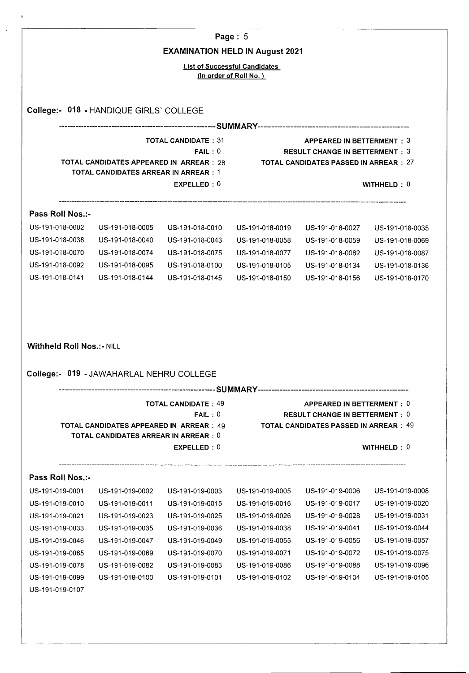|                                                                          |                                                                                                |                                                     | Page: $5$                                                      |                                                                                                                     |                                                       |
|--------------------------------------------------------------------------|------------------------------------------------------------------------------------------------|-----------------------------------------------------|----------------------------------------------------------------|---------------------------------------------------------------------------------------------------------------------|-------------------------------------------------------|
|                                                                          |                                                                                                |                                                     | <b>EXAMINATION HELD IN August 2021</b>                         |                                                                                                                     |                                                       |
|                                                                          |                                                                                                |                                                     | <b>List of Successful Candidates</b><br>(In order of Roll No.) |                                                                                                                     |                                                       |
|                                                                          |                                                                                                |                                                     |                                                                |                                                                                                                     |                                                       |
|                                                                          | College:- 018 - HANDIQUE GIRLS' COLLEGE                                                        |                                                     |                                                                |                                                                                                                     |                                                       |
|                                                                          |                                                                                                | <b>TOTAL CANDIDATE: 31</b>                          |                                                                | APPEARED IN BETTERMENT: 3                                                                                           |                                                       |
|                                                                          | TOTAL CANDIDATES APPEARED IN ARREAR : 28<br><b>TOTAL CANDIDATES ARREAR IN ARREAR : 1</b>       | FAIL:0                                              |                                                                | <b>RESULT CHANGE IN BETTERMENT: 3</b><br><b>TOTAL CANDIDATES PASSED IN ARREAR:27</b>                                |                                                       |
|                                                                          |                                                                                                | EXPELLED: 0                                         |                                                                |                                                                                                                     | WITHHELD $: 0$                                        |
| Pass Roll Nos.:-                                                         |                                                                                                |                                                     |                                                                |                                                                                                                     |                                                       |
| US-191-018-0002                                                          | US-191-018-0005                                                                                | US-191-018-0010                                     | US-191-018-0019                                                | US-191-018-0027                                                                                                     | US-191-018-0035                                       |
| US-191-018-0038                                                          | US-191-018-0040                                                                                | US-191-018-0043                                     | US-191-018-0058                                                | US-191-018-0059                                                                                                     | US-191-018-0069                                       |
| US-191-018-0070                                                          | US-191-018-0074                                                                                | US-191-018-0075                                     | US-191-018-0077                                                | US-191-018-0082                                                                                                     | US-191-018-0087                                       |
| US-191-018-0092                                                          | US-191-018-0095                                                                                | US-191-018-0100                                     | US-191-018-0105                                                | US-191-018-0134                                                                                                     | US-191-018-0136                                       |
|                                                                          | US-191-018-0144                                                                                | US-191-018-0145                                     | US-191-018-0150                                                | US-191-018-0156                                                                                                     | US-191-018-0170                                       |
| US-191-018-0141<br><b>Withheld Roll Nos.:- NILL</b>                      |                                                                                                |                                                     |                                                                |                                                                                                                     |                                                       |
|                                                                          | College:- 019 - JAWAHARLAL NEHRU COLLEGE                                                       |                                                     |                                                                |                                                                                                                     |                                                       |
|                                                                          |                                                                                                |                                                     |                                                                |                                                                                                                     |                                                       |
|                                                                          | <b>TOTAL CANDIDATES APPEARED IN ARREAR : 49</b><br><b>TOTAL CANDIDATES ARREAR IN ARREAR: 0</b> | <b>TOTAL CANDIDATE: 49</b><br>FAIL:0<br>EXPELLED: 0 |                                                                | APPEARED IN BETTERMENT: 0<br><b>RESULT CHANGE IN BETTERMENT: 0</b><br><b>TOTAL CANDIDATES PASSED IN ARREAR : 49</b> | WITHHELD: 0                                           |
|                                                                          |                                                                                                |                                                     |                                                                |                                                                                                                     |                                                       |
| Pass Roll Nos.:-                                                         |                                                                                                |                                                     |                                                                |                                                                                                                     |                                                       |
|                                                                          | US-191-019-0002                                                                                | US-191-019-0003                                     | US-191-019-0005                                                | US-191-019-0006                                                                                                     |                                                       |
|                                                                          | US-191-019-0011                                                                                | US-191-019-0015                                     | US-191-019-0016                                                | US-191-019-0017                                                                                                     |                                                       |
|                                                                          | US-191-019-0023                                                                                | US-191-019-0025                                     | US-191-019-0026                                                | US-191-019-0028                                                                                                     | US-191-019-0008<br>US-191-019-0020<br>US-191-019-0031 |
| US-191-019-0001<br>US-191-019-0010<br>US-191-019-0021<br>US-191-019-0033 | US-191-019-0035                                                                                | US-191-019-0036                                     | US-191-019-0038                                                | US-191-019-0041                                                                                                     | US-191-019-0044                                       |
| US-191-019-0046                                                          | US-191-019-0047                                                                                | US-191-019-0049                                     | US-191-019-0055                                                | US-191-019-0056                                                                                                     | US-191-019-0057                                       |
| US-191-019-0065                                                          | US-191-019-0069                                                                                | US-191-019-0070                                     | US-191-019-0071                                                | US-191-019-0072                                                                                                     | US-191-019-0075                                       |
| US-191-019-0078                                                          | US-191-019-0082                                                                                | US-191-019-0083                                     | US-191-019-0086                                                | US-191-019-0088                                                                                                     | US-191-019-0096                                       |
| US-191-019-0099                                                          | US-191-019-0100                                                                                | US-191-019-0101                                     | US-191-019-0102                                                | US-191-019-0104                                                                                                     | US-191-019-0105                                       |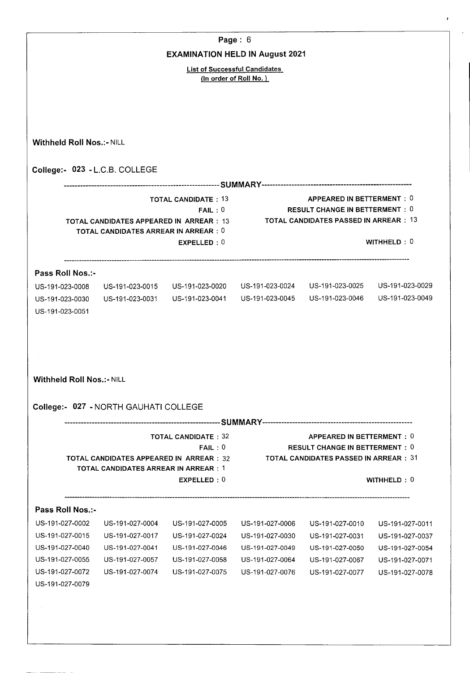|                                  |                                                                                               |                                        | Page: $6$                                                      |                                                                               |                 |
|----------------------------------|-----------------------------------------------------------------------------------------------|----------------------------------------|----------------------------------------------------------------|-------------------------------------------------------------------------------|-----------------|
|                                  |                                                                                               | <b>EXAMINATION HELD IN August 2021</b> |                                                                |                                                                               |                 |
|                                  |                                                                                               |                                        | <b>List of Successful Candidates</b><br>(In order of Roll No.) |                                                                               |                 |
|                                  |                                                                                               |                                        |                                                                |                                                                               |                 |
|                                  |                                                                                               |                                        |                                                                |                                                                               |                 |
| <b>Withheld Roll Nos.:- NILL</b> |                                                                                               |                                        |                                                                |                                                                               |                 |
|                                  | College:- 023 - L.C.B. COLLEGE                                                                |                                        |                                                                |                                                                               |                 |
|                                  |                                                                                               |                                        |                                                                |                                                                               |                 |
|                                  |                                                                                               | <b>TOTAL CANDIDATE: 13</b>             |                                                                | APPEARED IN BETTERMENT: 0                                                     |                 |
|                                  |                                                                                               | FAIL:0                                 |                                                                | RESULT CHANGE IN BETTERMENT $:\ 0$<br>TOTAL CANDIDATES PASSED IN ARREAR:13    |                 |
|                                  | <b>TOTAL CANDIDATES APPEARED IN ARREAR: 13</b><br><b>TOTAL CANDIDATES ARREAR IN ARREAR: 0</b> |                                        |                                                                |                                                                               |                 |
|                                  |                                                                                               | EXPELLED: 0                            |                                                                |                                                                               | WITHHELD: $0$   |
| Pass Roll Nos.:-                 |                                                                                               |                                        |                                                                |                                                                               |                 |
| US-191-023-0008                  |                                                                                               | US-191-023-0015 US-191-023-0020        | US-191-023-0024                                                | US-191-023-0025                                                               | US-191-023-0029 |
| US-191-023-0030                  | US-191-023-0031                                                                               |                                        | US-191-023-0041    US-191-023-0045                             | US-191-023-0046                                                               | US-191-023-0049 |
| US-191-023-0051                  |                                                                                               |                                        |                                                                |                                                                               |                 |
|                                  |                                                                                               |                                        |                                                                |                                                                               |                 |
|                                  |                                                                                               |                                        |                                                                |                                                                               |                 |
|                                  |                                                                                               |                                        |                                                                |                                                                               |                 |
|                                  |                                                                                               |                                        |                                                                |                                                                               |                 |
| <b>Withheld Roll Nos.:- NILL</b> |                                                                                               |                                        |                                                                |                                                                               |                 |
|                                  | College:- 027 - NORTH GAUHATI COLLEGE                                                         |                                        |                                                                |                                                                               |                 |
|                                  |                                                                                               |                                        |                                                                |                                                                               |                 |
|                                  |                                                                                               | <b>TOTAL CANDIDATE: 32</b>             |                                                                | APPEARED IN BETTERMENT: 0                                                     |                 |
|                                  | <b>TOTAL CANDIDATES APPEARED IN ARREAR: 32</b>                                                | FAIL:0                                 |                                                                | <b>RESULT CHANGE IN BETTERMENT: 0</b><br>TOTAL CANDIDATES PASSED IN ARREAR:31 |                 |
|                                  | <b>TOTAL CANDIDATES ARREAR IN ARREAR: 1</b>                                                   |                                        |                                                                |                                                                               |                 |
|                                  |                                                                                               | EXPELLED: 0                            |                                                                |                                                                               | WITHHELD: 0     |
| Pass Roll Nos.:-                 |                                                                                               |                                        |                                                                |                                                                               |                 |
| US-191-027-0002                  | US-191-027-0004                                                                               | US-191-027-0005                        | US-191-027-0006                                                | US-191-027-0010                                                               | US-191-027-0011 |
| US-191-027-0015                  | US-191-027-0017                                                                               | US-191-027-0024                        | US-191-027-0030                                                | US-191-027-0031                                                               | US-191-027-0037 |
| US-191-027-0040                  | US-191-027-0041                                                                               | US-191-027-0046                        | US-191-027-0049                                                | US-191-027-0050                                                               | US-191-027-0054 |
| US-191-027-0055                  | US-191-027-0057                                                                               | US-191-027-0058                        | US-191-027-0064                                                | US-191-027-0067                                                               | US-191-027-0071 |
| US-191-027-0072                  | US-191-027-0074                                                                               | US-191-027-0075                        | US-191-027-0076                                                | US-191-027-0077                                                               | US-191-027-0078 |
| US-191-027-0079                  |                                                                                               |                                        |                                                                |                                                                               |                 |
|                                  |                                                                                               |                                        |                                                                |                                                                               |                 |
|                                  |                                                                                               |                                        |                                                                |                                                                               |                 |
|                                  |                                                                                               |                                        |                                                                |                                                                               |                 |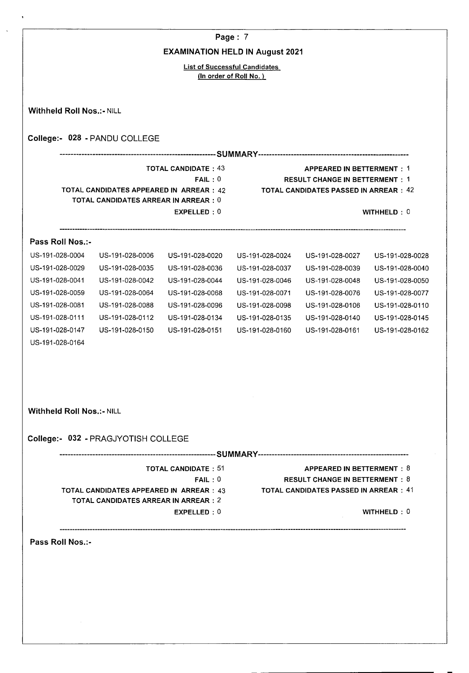|                                        |                                                                                         |                            | Page: 7                              |                                              |                 |  |  |  |
|----------------------------------------|-----------------------------------------------------------------------------------------|----------------------------|--------------------------------------|----------------------------------------------|-----------------|--|--|--|
| <b>EXAMINATION HELD IN August 2021</b> |                                                                                         |                            |                                      |                                              |                 |  |  |  |
|                                        |                                                                                         |                            | <b>List of Successful Candidates</b> |                                              |                 |  |  |  |
| (In order of Roll No.)                 |                                                                                         |                            |                                      |                                              |                 |  |  |  |
|                                        |                                                                                         |                            |                                      |                                              |                 |  |  |  |
| <b>Withheld Roll Nos.:- NILL</b>       |                                                                                         |                            |                                      |                                              |                 |  |  |  |
|                                        | College:- 028 - PANDU COLLEGE                                                           |                            |                                      |                                              |                 |  |  |  |
|                                        |                                                                                         |                            |                                      |                                              |                 |  |  |  |
|                                        |                                                                                         | <b>TOTAL CANDIDATE: 43</b> |                                      | <b>APPEARED IN BETTERMENT: 1</b>             |                 |  |  |  |
|                                        |                                                                                         | FAIL:0                     |                                      | <b>RESULT CHANGE IN BETTERMENT: 1</b>        |                 |  |  |  |
|                                        | TOTAL CANDIDATES APPEARED IN ARREAR : 42<br><b>TOTAL CANDIDATES ARREAR IN ARREAR: 0</b> |                            |                                      | <b>TOTAL CANDIDATES PASSED IN ARREAR: 42</b> |                 |  |  |  |
|                                        |                                                                                         | EXPELLED: 0                |                                      |                                              | WITHHELD: 0     |  |  |  |
|                                        |                                                                                         |                            |                                      |                                              |                 |  |  |  |
| Pass Roll Nos.:-                       |                                                                                         |                            |                                      |                                              |                 |  |  |  |
| US-191-028-0004                        | US-191-028-0006                                                                         | US-191-028-0020            | US-191-028-0024                      | US-191-028-0027                              | US-191-028-0028 |  |  |  |
| US-191-028-0029                        | US-191-028-0035                                                                         | US-191-028-0036            | US-191-028-0037                      | US-191-028-0039                              | US-191-028-0040 |  |  |  |
| US-191-028-0041                        | US-191-028-0042                                                                         | US-191-028-0044            | US-191-028-0046                      | US-191-028-0048                              | US-191-028-0050 |  |  |  |
| US-191-028-0059                        | US-191-028-0064                                                                         | US-191-028-0068            | US-191-028-0071                      | US-191-028-0076                              | US-191-028-0077 |  |  |  |
| US-191-028-0081                        | US-191-028-0088                                                                         | US-191-028-0096            | US-191-028-0098                      | US-191-028-0106                              | US-191-028-0110 |  |  |  |
| US-191-028-0111                        | US-191-028-0112                                                                         | US-191-028-0134            | US-191-028-0135                      | US-191-028-0140                              | US-191-028-0145 |  |  |  |
| US-191-028-0147                        | US-191-028-0150                                                                         | US-191-028-0151            | US-191-028-0160                      | US-191-028-0161                              | US-191-028-0162 |  |  |  |
| US-191-028-0164                        |                                                                                         |                            |                                      |                                              |                 |  |  |  |
|                                        |                                                                                         |                            |                                      |                                              |                 |  |  |  |
|                                        |                                                                                         |                            |                                      |                                              |                 |  |  |  |
|                                        |                                                                                         |                            |                                      |                                              |                 |  |  |  |
| <b>Withheld Roll Nos.:- NILL</b>       |                                                                                         |                            |                                      |                                              |                 |  |  |  |
|                                        | College:- 032 - PRAGJYOTISH COLLEGE                                                     |                            |                                      |                                              |                 |  |  |  |
|                                        |                                                                                         |                            |                                      |                                              |                 |  |  |  |
|                                        |                                                                                         | <b>TOTAL CANDIDATE: 51</b> |                                      | <b>APPEARED IN BETTERMENT: 8</b>             |                 |  |  |  |
|                                        |                                                                                         | FAIL:0                     |                                      | <b>RESULT CHANGE IN BETTERMENT: 8</b>        |                 |  |  |  |
|                                        | <b>TOTAL CANDIDATES APPEARED IN ARREAR : 43</b><br>TOTAL CANDIDATES ARREAR IN ARREAR:2  |                            |                                      | <b>TOTAL CANDIDATES PASSED IN ARREAR: 41</b> |                 |  |  |  |
|                                        |                                                                                         | EXPELLED: 0                |                                      |                                              | WITHHELD: 0     |  |  |  |

 $\ddot{\phantom{1}}$ 

 $\bar{z}$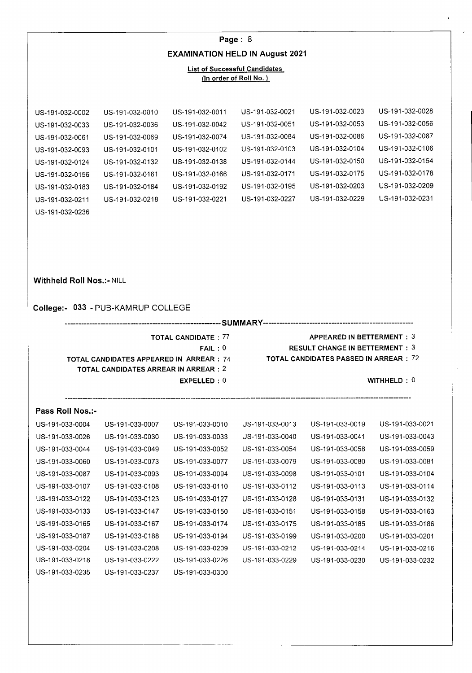## **Page:** 8 **EXAMINATION HELD IN August 2021**

#### List of Successful Candidates (In order of Roll No.)

US-191-032-0002 US-191-032-0010 US-191-032-0011 US-191-032-0021 US-191-032-0023 US-191-032-0028 US-191-032-0033 US-191-032-0036 US-191-032-0042 US-191-032-0051 US-191-032-0053 US-191-032-0056 US-191-032-0061 US-191-032-0069 US-191-032-0074 US-191-032-0084 US-191-032-0086 US-191-032-0087 US-191-032-0093 US-191-032-0101 US-191-032-0102 US-191-032-0103 US-191-032-0104 US-191-032-0106 US-191-032-0124 US-191-032-0132 US-191-032-0138 US-191-032-0144 US-191-032-0150 US-191-032-0154 US-191-032-0156 US-191-032-0161 US-191-032-0166 US-191-032-0171 US-191-032-0175 US-191-032-0178 US-191-032-0183 US-191-032-0184 US-191-032-0192 US-191-032-0195 US-191-032-0203 US-191-032-0209 US-191-032-0211 US-191-032-0218 US-191-032-022i US-i 91-032-0227 US-i 91-032-0229 US-191-032-0231

### **Withheld Roll Nos.:- NILL**

US-191-032-0236

#### **College:- 033** - PUB-KAMRUP COLLEGE

**SUMMARY** 

- TOTAL CANDIDATE : 77 APPEARED IN BETTERMENT : 3
	- FAIL : 0 RESULT CHANGE IN BETTERMENT : 3
		-
	- **EXPELLED : 0** WITHHELD : 0

TOTAL **CANDIDATES APPEARED IN ARREAR:** 74 TOTAL CANDIDATES PASSED IN ARREAR : 72

- **TOTAL CANDIDATES ARREAR IN ARREAR: 2** 
	-

## **Pass Roll Nos.:**-

| US-191-033-0004 | US-191-033-0007 | US-191-033-0010 | US-191-033-0013 | US-191-033-0019 | US-191-033-0021 |
|-----------------|-----------------|-----------------|-----------------|-----------------|-----------------|
| US-191-033-0026 | US-191-033-0030 | US-191-033-0033 | US-191-033-0040 | US-191-033-0041 | US-191-033-0043 |
| US-191-033-0044 | US-191-033-0049 | US-191-033-0052 | US-191-033-0054 | US-191-033-0058 | US-191-033-0059 |
| US-191-033-0060 | US-191-033-0073 | US-191-033-0077 | US-191-033-0079 | US-191-033-0080 | US-191-033-0081 |
| US-191-033-0087 | US-191-033-0093 | US-191-033-0094 | US-191-033-0098 | US-191-033-0101 | US-191-033-0104 |
| US-191-033-0107 | US-191-033-0108 | US-191-033-0110 | US-191-033-0112 | US-191-033-0113 | US-191-033-0114 |
| US-191-033-0122 | US-191-033-0123 | US-191-033-0127 | US-191-033-0128 | US-191-033-0131 | US-191-033-0132 |
| US-191-033-0133 | US-191-033-0147 | US-191-033-0150 | US-191-033-0151 | US-191-033-0158 | US-191-033-0163 |
| US-191-033-0165 | US-191-033-0167 | US-191-033-0174 | US-191-033-0175 | US-191-033-0185 | US-191-033-0186 |
| US-191-033-0187 | US-191-033-0188 | US-191-033-0194 | US-191-033-0199 | US-191-033-0200 | US-191-033-0201 |
| US-191-033-0204 | US-191-033-0208 | US-191-033-0209 | US-191-033-0212 | US-191-033-0214 | US-191-033-0216 |
| US-191-033-0218 | US-191-033-0222 | US-191-033-0226 | US-191-033-0229 | US-191-033-0230 | US-191-033-0232 |
| US-191-033-0235 | US-191-033-0237 | US-191-033-0300 |                 |                 |                 |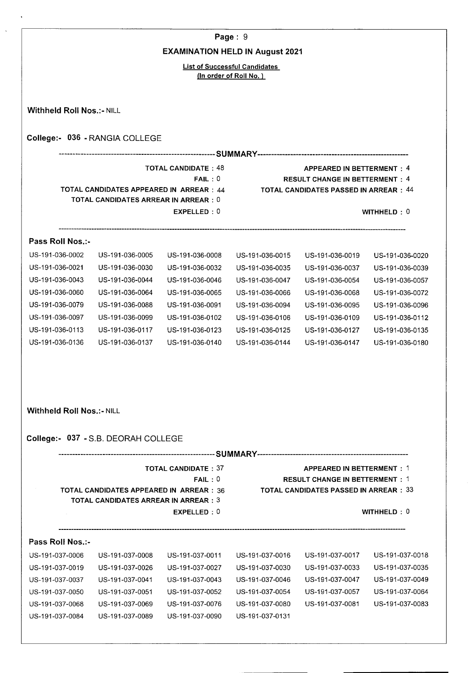|                                  |                                                 |                                        | Page: 9                              |                                                                                        |                 |
|----------------------------------|-------------------------------------------------|----------------------------------------|--------------------------------------|----------------------------------------------------------------------------------------|-----------------|
|                                  |                                                 | <b>EXAMINATION HELD IN August 2021</b> |                                      |                                                                                        |                 |
|                                  |                                                 |                                        | <b>List of Successful Candidates</b> |                                                                                        |                 |
|                                  |                                                 |                                        | (In order of Roll No.)               |                                                                                        |                 |
|                                  |                                                 |                                        |                                      |                                                                                        |                 |
| <b>Withheld Roll Nos.:- NILL</b> |                                                 |                                        |                                      |                                                                                        |                 |
|                                  |                                                 |                                        |                                      |                                                                                        |                 |
|                                  | College:- 036 - RANGIA COLLEGE                  |                                        |                                      |                                                                                        |                 |
|                                  |                                                 |                                        |                                      |                                                                                        |                 |
|                                  |                                                 | <b>TOTAL CANDIDATE: 48</b>             |                                      | <b>APPEARED IN BETTERMENT: 4</b>                                                       |                 |
|                                  | TOTAL CANDIDATES APPEARED IN ARREAR : 44        | FAIL:0                                 |                                      | <b>RESULT CHANGE IN BETTERMENT: 4</b><br><b>TOTAL CANDIDATES PASSED IN ARREAR : 44</b> |                 |
|                                  | <b>TOTAL CANDIDATES ARREAR IN ARREAR: 0</b>     |                                        |                                      |                                                                                        |                 |
|                                  |                                                 | EXPELLED: 0                            |                                      |                                                                                        | WITHHELD:0      |
|                                  |                                                 |                                        |                                      |                                                                                        |                 |
| Pass Roll Nos.:-                 |                                                 |                                        |                                      |                                                                                        |                 |
| US-191-036-0002                  | US-191-036-0005                                 | US-191-036-0008                        | US-191-036-0015                      | US-191-036-0019                                                                        | US-191-036-0020 |
| US-191-036-0021                  | US-191-036-0030                                 | US-191-036-0032                        | US-191-036-0035                      | US-191-036-0037                                                                        | US-191-036-0039 |
| US-191-036-0043                  | US-191-036-0044                                 | US-191-036-0046                        | US-191-036-0047                      | US-191-036-0054                                                                        | US-191-036-0057 |
| US-191-036-0060                  | US-191-036-0064                                 | US-191-036-0065                        | US-191-036-0066                      | US-191-036-0068                                                                        | US-191-036-0072 |
| US-191-036-0079                  | US-191-036-0088                                 | US-191-036-0091                        | US-191-036-0094                      | US-191-036-0095                                                                        | US-191-036-0096 |
| US-191-036-0097                  | US-191-036-0099                                 | US-191-036-0102                        | US-191-036-0106                      | US-191-036-0109                                                                        | US-191-036-0112 |
| US-191-036-0113                  | US-191-036-0117                                 | US-191-036-0123                        | US-191-036-0125                      | US-191-036-0127                                                                        | US-191-036-0135 |
| US-191-036-0136                  | US-191-036-0137                                 | US-191-036-0140                        | US-191-036-0144                      | US-191-036-0147                                                                        | US-191-036-0180 |
|                                  |                                                 |                                        |                                      |                                                                                        |                 |
|                                  |                                                 |                                        |                                      |                                                                                        |                 |
|                                  |                                                 |                                        |                                      |                                                                                        |                 |
|                                  |                                                 |                                        |                                      |                                                                                        |                 |
| <b>Withheld Roll Nos.:- NILL</b> |                                                 |                                        |                                      |                                                                                        |                 |
|                                  | College:- 037 - S.B. DEORAH COLLEGE             |                                        |                                      |                                                                                        |                 |
|                                  |                                                 |                                        |                                      |                                                                                        |                 |
|                                  |                                                 |                                        |                                      |                                                                                        |                 |
|                                  |                                                 | <b>TOTAL CANDIDATE: 37</b><br>FAIL:0   |                                      | <b>APPEARED IN BETTERMENT: 1</b><br><b>RESULT CHANGE IN BETTERMENT: 1</b>              |                 |
|                                  | <b>TOTAL CANDIDATES APPEARED IN ARREAR : 36</b> |                                        |                                      | <b>TOTAL CANDIDATES PASSED IN ARREAR: 33</b>                                           |                 |

- **TOTAL CANDIDATES ARREAR IN ARREAR: 3** 
	- **EXPELLED : 0** WITHHELD : 0

## **Pass Roll Nos.:**-

 $\bar{\mathcal{A}}$ 

| US-191-037-0006 | US-191-037-0008 | US-191-037-0011 | US-191-037-0016 | US-191-037-0017 | US-191-037-0018 |
|-----------------|-----------------|-----------------|-----------------|-----------------|-----------------|
| US-191-037-0019 | US-191-037-0026 | US-191-037-0027 | US-191-037-0030 | US-191-037-0033 | US-191-037-0035 |
| US-191-037-0037 | US-191-037-0041 | US-191-037-0043 | US-191-037-0046 | US-191-037-0047 | US-191-037-0049 |
| US-191-037-0050 | US-191-037-0051 | US-191-037-0052 | US-191-037-0054 | US-191-037-0057 | US-191-037-0064 |
| US-191-037-0068 | US-191-037-0069 | US-191-037-0076 | US-191-037-0080 | US-191-037-0081 | US-191-037-0083 |
| US-191-037-0084 | US-191-037-0089 | US-191-037-0090 | US-191-037-0131 |                 |                 |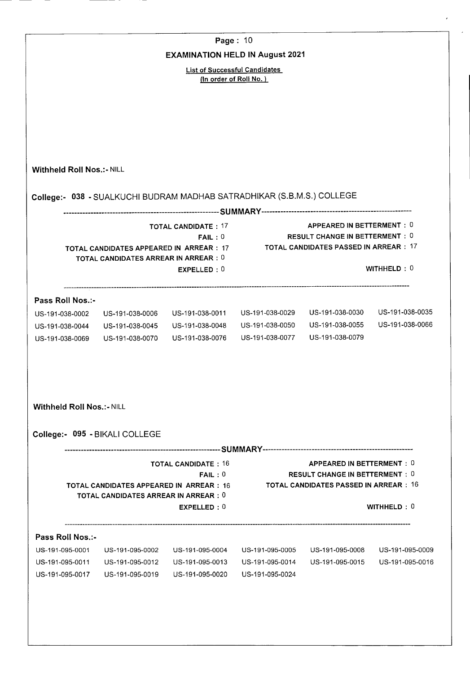|                                    |                                                                                                | Page: 10                                                               |                 |                                                                               |                 |
|------------------------------------|------------------------------------------------------------------------------------------------|------------------------------------------------------------------------|-----------------|-------------------------------------------------------------------------------|-----------------|
|                                    |                                                                                                | <b>EXAMINATION HELD IN August 2021</b>                                 |                 |                                                                               |                 |
|                                    |                                                                                                | <b>List of Successful Candidates</b><br>(In order of Roll No.)         |                 |                                                                               |                 |
|                                    |                                                                                                |                                                                        |                 |                                                                               |                 |
|                                    |                                                                                                |                                                                        |                 |                                                                               |                 |
|                                    |                                                                                                |                                                                        |                 |                                                                               |                 |
|                                    |                                                                                                |                                                                        |                 |                                                                               |                 |
|                                    |                                                                                                |                                                                        |                 |                                                                               |                 |
| <b>Withheld Roll Nos.:- NILL</b>   |                                                                                                |                                                                        |                 |                                                                               |                 |
|                                    |                                                                                                |                                                                        |                 |                                                                               |                 |
|                                    |                                                                                                | College:- 038 - SUALKUCHI BUDRAM MADHAB SATRADHIKAR (S.B.M.S.) COLLEGE |                 |                                                                               |                 |
|                                    |                                                                                                | <b>TOTAL CANDIDATE: 17</b>                                             |                 | APPEARED IN BETTERMENT: 0                                                     |                 |
|                                    |                                                                                                | FAIL:0                                                                 |                 | <b>RESULT CHANGE IN BETTERMENT: 0</b>                                         |                 |
|                                    | TOTAL CANDIDATES APPEARED IN ARREAR : 17<br>TOTAL CANDIDATES ARREAR IN ARREAR : 0              |                                                                        |                 | TOTAL CANDIDATES PASSED IN ARREAR : 17                                        |                 |
|                                    |                                                                                                | EXPELLED: 0                                                            |                 |                                                                               | WITHHELD: 0     |
|                                    |                                                                                                |                                                                        |                 |                                                                               |                 |
| Pass Roll Nos.:-                   |                                                                                                |                                                                        |                 |                                                                               |                 |
| US-191-038-0002                    | US-191-038-0006                                                                                | US-191-038-0011                                                        | US-191-038-0029 | US-191-038-0030                                                               | US-191-038-0035 |
| US-191-038-0044                    | US-191-038-0045                                                                                | US-191-038-0048                                                        | US-191-038-0050 | US-191-038-0055                                                               | US-191-038-0066 |
| US-191-038-0069                    | US-191-038-0070                                                                                | US-191-038-0076                                                        | US-191-038-0077 | US-191-038-0079                                                               |                 |
| <b>Withheld Roll Nos.:- NILL</b>   |                                                                                                |                                                                        |                 |                                                                               |                 |
|                                    |                                                                                                |                                                                        |                 |                                                                               |                 |
|                                    | College:- 095 - BIKALI COLLEGE                                                                 |                                                                        |                 |                                                                               |                 |
|                                    |                                                                                                |                                                                        |                 |                                                                               |                 |
|                                    |                                                                                                | <b>TOTAL CANDIDATE: 16</b>                                             |                 | APPEARED IN BETTERMENT: 0                                                     |                 |
|                                    | <b>TOTAL CANDIDATES APPEARED IN ARREAR: 16</b><br><b>TOTAL CANDIDATES ARREAR IN ARREAR : 0</b> | FAIL:0                                                                 |                 | <b>RESULT CHANGE IN BETTERMENT: 0</b><br>TOTAL CANDIDATES PASSED IN ARREAR:16 |                 |
|                                    |                                                                                                | EXPELLED: 0                                                            |                 |                                                                               | WITHHELD: $0$   |
| Pass Roll Nos.:-                   |                                                                                                |                                                                        |                 |                                                                               |                 |
|                                    | US-191-095-0002                                                                                | US-191-095-0004                                                        | US-191-095-0005 | US-191-095-0008                                                               | US-191-095-0009 |
|                                    |                                                                                                |                                                                        | US-191-095-0014 | US-191-095-0015                                                               | US-191-095-0016 |
| US-191-095-0001<br>US-191-095-0011 | US-191-095-0012                                                                                | US-191-095-0013                                                        |                 |                                                                               |                 |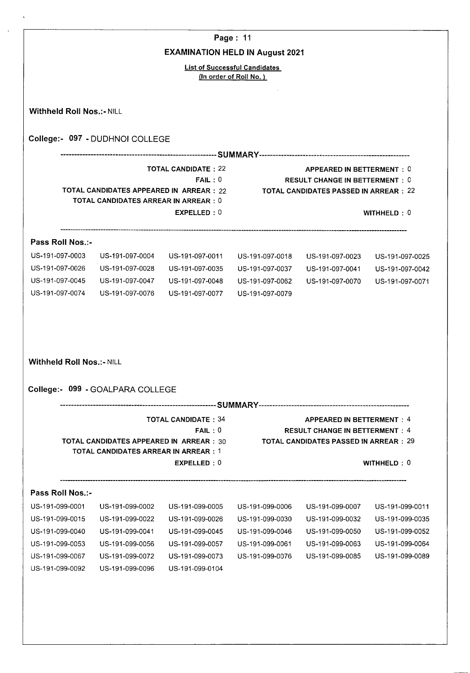|                                                                        |                                                                                                |                                        | Page: 11                                                       |                                                                                                                            |                 |
|------------------------------------------------------------------------|------------------------------------------------------------------------------------------------|----------------------------------------|----------------------------------------------------------------|----------------------------------------------------------------------------------------------------------------------------|-----------------|
|                                                                        |                                                                                                | <b>EXAMINATION HELD IN August 2021</b> |                                                                |                                                                                                                            |                 |
|                                                                        |                                                                                                |                                        | <b>List of Successful Candidates</b><br>(In order of Roll No.) |                                                                                                                            |                 |
|                                                                        |                                                                                                |                                        |                                                                |                                                                                                                            |                 |
| <b>Withheld Roll Nos.: - NILL</b>                                      |                                                                                                |                                        |                                                                |                                                                                                                            |                 |
|                                                                        | College:- 097 - DUDHNOI COLLEGE                                                                |                                        |                                                                |                                                                                                                            |                 |
|                                                                        |                                                                                                |                                        |                                                                |                                                                                                                            |                 |
|                                                                        | TOTAL CANDIDATES APPEARED IN ARREAR : 22                                                       | <b>TOTAL CANDIDATE: 22</b><br>FAIL:0   |                                                                | <b>APPEARED IN BETTERMENT: 0</b><br><b>RESULT CHANGE IN BETTERMENT: 0</b><br><b>TOTAL CANDIDATES PASSED IN ARREAR : 22</b> |                 |
|                                                                        | TOTAL CANDIDATES ARREAR IN ARREAR : 0                                                          | EXPELLED: 0                            |                                                                |                                                                                                                            | WITHHELD: 0     |
| Pass Roll Nos.:-                                                       |                                                                                                |                                        |                                                                |                                                                                                                            |                 |
| US-191-097-0003                                                        | US-191-097-0004                                                                                | US-191-097-0011                        | US-191-097-0018                                                | US-191-097-0023                                                                                                            | US-191-097-0025 |
| US-191-097-0026                                                        | US-191-097-0028                                                                                | US-191-097-0035                        | US-191-097-0037                                                | US-191-097-0041                                                                                                            | US-191-097-0042 |
|                                                                        |                                                                                                |                                        |                                                                |                                                                                                                            | US-191-097-0071 |
|                                                                        | US-191-097-0047                                                                                | US-191-097-0048                        | US-191-097-0062                                                | US-191-097-0070                                                                                                            |                 |
|                                                                        | US-191-097-0076                                                                                | US-191-097-0077                        | US-191-097-0079                                                |                                                                                                                            |                 |
| US-191-097-0045<br>US-191-097-0074<br><b>Withheld Roll Nos.:- NILL</b> |                                                                                                |                                        |                                                                |                                                                                                                            |                 |
|                                                                        | College:- 099 - GOALPARA COLLEGE                                                               |                                        |                                                                |                                                                                                                            |                 |
|                                                                        | <b>TOTAL CANDIDATES APPEARED IN ARREAR : 30</b><br><b>TOTAL CANDIDATES ARREAR IN ARREAR: 1</b> | <b>TOTAL CANDIDATE: 34</b><br>FAIL:0   |                                                                | <b>APPEARED IN BETTERMENT: 4</b><br><b>RESULT CHANGE IN BETTERMENT: 4</b><br><b>TOTAL CANDIDATES PASSED IN ARREAR : 29</b> |                 |
|                                                                        |                                                                                                | EXPELLED: 0                            |                                                                |                                                                                                                            | WITHHELD: 0     |
| Pass Roll Nos.:-                                                       |                                                                                                |                                        |                                                                |                                                                                                                            |                 |
| US-191-099-0001                                                        | US-191-099-0002                                                                                | US-191-099-0005                        | US-191-099-0006                                                | US-191-099-0007                                                                                                            | US-191-099-0011 |
| US-191-099-0015                                                        | US-191-099-0022                                                                                | US-191-099-0026                        | US-191-099-0030                                                | US-191-099-0032                                                                                                            | US-191-099-0035 |
| US-191-099-0040                                                        | US-191-099-0041                                                                                | US-191-099-0045                        | US-191-099-0046                                                | US-191-099-0050                                                                                                            | US-191-099-0052 |
| US-191-099-0053                                                        | US-191-099-0056                                                                                | US-191-099-0057                        | US-191-099-0061                                                | US-191-099-0063                                                                                                            | US-191-099-0064 |
| US-191-099-0067                                                        | US-191-099-0072                                                                                | US-191-099-0073                        | US-191-099-0076                                                | US-191-099-0085                                                                                                            | US-191-099-0089 |
| US-191-099-0092                                                        | US-191-099-0096                                                                                | US-191-099-0104                        |                                                                |                                                                                                                            |                 |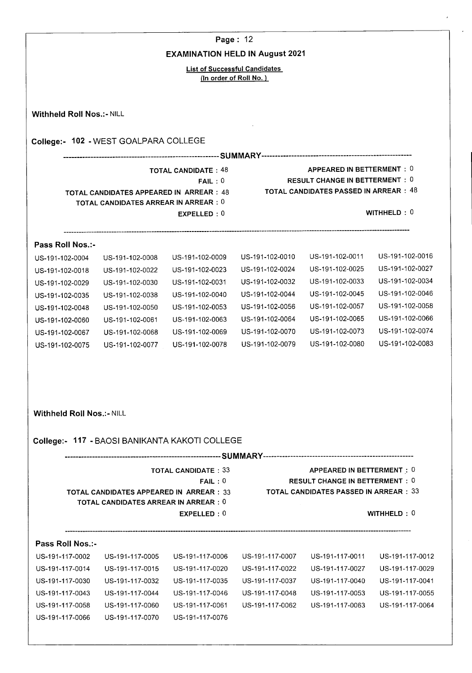|                                                                                                                                                                                                  | Page: 12                                                                                                       |                                                                                                                      |                                                                               |                                                                                             |  |  |  |  |
|--------------------------------------------------------------------------------------------------------------------------------------------------------------------------------------------------|----------------------------------------------------------------------------------------------------------------|----------------------------------------------------------------------------------------------------------------------|-------------------------------------------------------------------------------|---------------------------------------------------------------------------------------------|--|--|--|--|
|                                                                                                                                                                                                  |                                                                                                                |                                                                                                                      |                                                                               |                                                                                             |  |  |  |  |
| <b>List of Successful Candidates</b><br>(In order of Roll No.)                                                                                                                                   |                                                                                                                |                                                                                                                      |                                                                               |                                                                                             |  |  |  |  |
| <b>Withheld Roll Nos.:- NILL</b>                                                                                                                                                                 |                                                                                                                |                                                                                                                      |                                                                               |                                                                                             |  |  |  |  |
|                                                                                                                                                                                                  |                                                                                                                |                                                                                                                      |                                                                               |                                                                                             |  |  |  |  |
|                                                                                                                                                                                                  |                                                                                                                |                                                                                                                      |                                                                               |                                                                                             |  |  |  |  |
| APPEARED IN BETTERMENT: 0<br><b>TOTAL CANDIDATE: 48</b><br><b>RESULT CHANGE IN BETTERMENT: 0</b><br>FAIL:0<br>TOTAL CANDIDATES PASSED IN ARREAR : 48<br>TOTAL CANDIDATES APPEARED IN ARREAR : 48 |                                                                                                                |                                                                                                                      |                                                                               |                                                                                             |  |  |  |  |
|                                                                                                                                                                                                  | EXPELLED: 0                                                                                                    |                                                                                                                      |                                                                               | WITHHELD: 0                                                                                 |  |  |  |  |
| Pass Roll Nos.:-                                                                                                                                                                                 |                                                                                                                |                                                                                                                      |                                                                               |                                                                                             |  |  |  |  |
| US-191-102-0004                                                                                                                                                                                  | US-191-102-0009                                                                                                | US-191-102-0010                                                                                                      | US-191-102-0011                                                               | US-191-102-0016                                                                             |  |  |  |  |
| US-191-102-0018                                                                                                                                                                                  | US-191-102-0023                                                                                                | US-191-102-0024                                                                                                      | US-191-102-0025                                                               | US-191-102-0027                                                                             |  |  |  |  |
| US-191-102-0029                                                                                                                                                                                  | US-191-102-0031                                                                                                | US-191-102-0032                                                                                                      | US-191-102-0033                                                               | US-191-102-0034                                                                             |  |  |  |  |
| US-191-102-0035                                                                                                                                                                                  | US-191-102-0040                                                                                                | US-191-102-0044                                                                                                      | US-191-102-0045                                                               | US-191-102-0046                                                                             |  |  |  |  |
| US-191-102-0048                                                                                                                                                                                  | US-191-102-0053                                                                                                | US-191-102-0056                                                                                                      | US-191-102-0057                                                               | US-191-102-0058                                                                             |  |  |  |  |
| US-191-102-0060                                                                                                                                                                                  | US-191-102-0063                                                                                                | US-191-102-0064                                                                                                      | US-191-102-0065                                                               | US-191-102-0066                                                                             |  |  |  |  |
| US-191-102-0067                                                                                                                                                                                  | US-191-102-0069                                                                                                | US-191-102-0070                                                                                                      | US-191-102-0073                                                               | US-191-102-0074                                                                             |  |  |  |  |
| US-191-102-0075                                                                                                                                                                                  | US-191-102-0078                                                                                                | US-191-102-0079                                                                                                      | US-191-102-0080                                                               | US-191-102-0083                                                                             |  |  |  |  |
| <b>Withheld Roll Nos.:- NILL</b>                                                                                                                                                                 | College:- 117 - BAOSI BANIKANTA KAKOTI COLLEGE                                                                 |                                                                                                                      |                                                                               |                                                                                             |  |  |  |  |
|                                                                                                                                                                                                  |                                                                                                                |                                                                                                                      |                                                                               |                                                                                             |  |  |  |  |
|                                                                                                                                                                                                  | <b>TOTAL CANDIDATE: 33</b>                                                                                     |                                                                                                                      | APPEARED IN BETTERMENT: 0                                                     |                                                                                             |  |  |  |  |
| <b>TOTAL CANDIDATES APPEARED IN ARREAR : 33</b><br><b>TOTAL CANDIDATES ARREAR IN ARREAR : 0</b>                                                                                                  | FAIL:0<br>EXPELLED: 0                                                                                          |                                                                                                                      | <b>RESULT CHANGE IN BETTERMENT: 0</b><br>TOTAL CANDIDATES PASSED IN ARREAR:33 | WITHHELD: 0                                                                                 |  |  |  |  |
|                                                                                                                                                                                                  |                                                                                                                |                                                                                                                      |                                                                               |                                                                                             |  |  |  |  |
| Pass Roll Nos.:-                                                                                                                                                                                 |                                                                                                                |                                                                                                                      |                                                                               |                                                                                             |  |  |  |  |
| US-191-117-0002<br>US-191-117-0005                                                                                                                                                               | US-191-117-0006                                                                                                | US-191-117-0007                                                                                                      | US-191-117-0011                                                               |                                                                                             |  |  |  |  |
| US-191-117-0014<br>US-191-117-0015                                                                                                                                                               | US-191-117-0020                                                                                                | US-191-117-0022                                                                                                      | US-191-117-0027                                                               |                                                                                             |  |  |  |  |
| US-191-117-0030<br>US-191-117-0032                                                                                                                                                               | US-191-117-0035                                                                                                | US-191-117-0037                                                                                                      | US-191-117-0040                                                               |                                                                                             |  |  |  |  |
| US-191-117-0043<br>US-191-117-0044<br>US-191-117-0058<br>US-191-117-0060                                                                                                                         | US-191-117-0046<br>US-191-117-0061                                                                             | US-191-117-0048<br>US-191-117-0062                                                                                   | US-191-117-0053<br>US-191-117-0063                                            | US-191-117-0012<br>US-191-117-0029<br>US-191-117-0041<br>US-191-117-0055<br>US-191-117-0064 |  |  |  |  |
|                                                                                                                                                                                                  | US-191-102-0008<br>US-191-102-0022<br>US-191-102-0030<br>US-191-102-0038<br>US-191-102-0050<br>US-191-102-0061 | College:- 102 - WEST GOALPARA COLLEGE<br>TOTAL CANDIDATES ARREAR IN ARREAR : 0<br>US-191-102-0068<br>US-191-102-0077 |                                                                               | <b>EXAMINATION HELD IN August 2021</b>                                                      |  |  |  |  |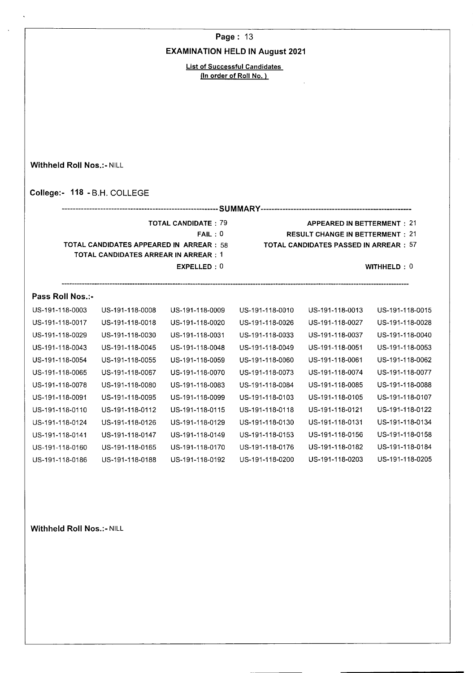**Page:** 13

#### **EXAMINATION HELD IN August 2021**

List of Successful Candidates (In order of Roll No.)

**College:- 118** -B.H. COLLEGE **SUMMARY**  TOTAL CANDIDATE: 79 APPEARED IN BETTERMENT: 21 FAIL : 0 RESULT CHANGE IN BETTERMENT : 21 TOTAL CANDIDATES APPEARED **IN** ARREAR: 58 TOTAL **CANDIDATES PASSED IN ARREAR** : 57 **TOTAL CANDIDATES ARREAR IN ARREAR: 1 Pass Roll Nos.:**- **EXPELLED : 0** WITHHELD : 0 US-191-118-0003 US-191-i 18-0008 US-191-118-0009 US-191-118-0010 US-I9i-118-0013 US-I9I-i 18-0015 US-191-118-0017 US-191-118-0018 US-191-118-0020 US-191-118-0026 US-191-118-0027 US-191-118-0028 US-191-118-0029 US-191-118-0030 US-191-118-0031 US-191-118-0033 US-191-118-0037 US-191-118-0040 US-191-118-0043 US-191-118-0045 US-191-118-0048 US-191-118-0049 US-191-118-0051 US-191-118-0053 US-191-1 18-0054 US-191-i 18-0055 US-191-1 18-0059 US-i 91-118-0060 US-I 91-118-0061 US-191-1 18-0062 US-191-118-0065 US-191-118-0067 US-191-118-0070 US-191-118-0073 US-191-118-0074 US-191-118-0077 US-191-118-0078 US-191-118-0080 US-191-118-0083 US-191-118-0084 US-191-118-0085 US-191-118-0088 US-191-118-0091 US-191-118-0095 US-191-118-0099 US-191-118-0103 US-191-118-0105 US-191-118-0107 US-i 91-118-0110 US-191-118-0112 US-191-118-0115 US-191-118-0118 US-191-118-0121 US-I9I-i 18-0122 US-191-1 18-0124 US-191-1 18-0126 US-I9l-118-0129 US-191-i 18-0130 US-191-I 18-0131 US-191-1 18-0134 US-191-118-0141 US-I91-i 18-0147 US-191-118-0149 US-191-I 18-0153 US-191-i 18-0156 US-I9l-118-0158 US-191-118-0160 US-191-118-0165 US-191-118-0170 US-i 91-118-0176 US-191-118-0182 US-I91-118-0184

US-191-118-0186 US-191-118-0188 US-191-118-0192 US-191-118-0200 US-191-118-0203 US-191-118-0205

**Withheld Roll Nos.:- NILL** 

**Withheld Roll Nos.:- NILL** 

- 
- 
- -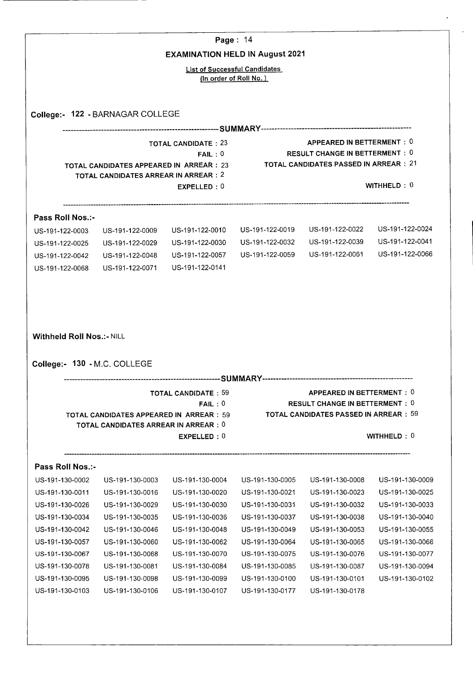|                                                                                                                                                                                                                                                                                    |                                                                                   | Page: 14                               |                                                                |                                                                                                              |                                                                                                                                                                         |
|------------------------------------------------------------------------------------------------------------------------------------------------------------------------------------------------------------------------------------------------------------------------------------|-----------------------------------------------------------------------------------|----------------------------------------|----------------------------------------------------------------|--------------------------------------------------------------------------------------------------------------|-------------------------------------------------------------------------------------------------------------------------------------------------------------------------|
|                                                                                                                                                                                                                                                                                    |                                                                                   | <b>EXAMINATION HELD IN August 2021</b> |                                                                |                                                                                                              |                                                                                                                                                                         |
|                                                                                                                                                                                                                                                                                    |                                                                                   |                                        | <b>List of Successful Candidates</b><br>(In order of Roll No.) |                                                                                                              |                                                                                                                                                                         |
|                                                                                                                                                                                                                                                                                    |                                                                                   |                                        |                                                                |                                                                                                              |                                                                                                                                                                         |
|                                                                                                                                                                                                                                                                                    | College:- 122 - BARNAGAR COLLEGE                                                  |                                        |                                                                |                                                                                                              |                                                                                                                                                                         |
|                                                                                                                                                                                                                                                                                    | TOTAL CANDIDATES APPEARED IN ARREAR : 23<br>TOTAL CANDIDATES ARREAR IN ARREAR : 2 | <b>TOTAL CANDIDATE: 23</b><br>FAIL:0   |                                                                | APPEARED IN BETTERMENT: 0<br><b>RESULT CHANGE IN BETTERMENT: 0</b><br>TOTAL CANDIDATES PASSED IN ARREAR : 21 |                                                                                                                                                                         |
|                                                                                                                                                                                                                                                                                    |                                                                                   | EXPELLED: 0                            |                                                                |                                                                                                              | WITHHELD: $0$                                                                                                                                                           |
| Pass Roll Nos.:-                                                                                                                                                                                                                                                                   |                                                                                   |                                        |                                                                |                                                                                                              |                                                                                                                                                                         |
| US-191-122-0003                                                                                                                                                                                                                                                                    | US-191-122-0009                                                                   | US-191-122-0010                        | US-191-122-0019                                                | US-191-122-0022                                                                                              | US-191-122-0024                                                                                                                                                         |
| US-191-122-0025                                                                                                                                                                                                                                                                    | US-191-122-0029                                                                   | US-191-122-0030                        | US-191-122-0032                                                | US-191-122-0039                                                                                              | US-191-122-0041                                                                                                                                                         |
| US-191-122-0042                                                                                                                                                                                                                                                                    | US-191-122-0048                                                                   | US-191-122-0057                        | US-191-122-0059                                                | US-191-122-0061                                                                                              | US-191-122-0066                                                                                                                                                         |
| US-191-122-0068                                                                                                                                                                                                                                                                    | US-191-122-0071                                                                   | US-191-122-0141                        |                                                                |                                                                                                              |                                                                                                                                                                         |
|                                                                                                                                                                                                                                                                                    |                                                                                   |                                        |                                                                |                                                                                                              |                                                                                                                                                                         |
|                                                                                                                                                                                                                                                                                    |                                                                                   |                                        |                                                                |                                                                                                              |                                                                                                                                                                         |
|                                                                                                                                                                                                                                                                                    |                                                                                   |                                        |                                                                |                                                                                                              |                                                                                                                                                                         |
|                                                                                                                                                                                                                                                                                    |                                                                                   | <b>TOTAL CANDIDATE: 59</b>             |                                                                | APPEARED IN BETTERMENT: 0<br><b>RESULT CHANGE IN BETTERMENT: 0</b>                                           |                                                                                                                                                                         |
|                                                                                                                                                                                                                                                                                    | <b>TOTAL CANDIDATES APPEARED IN ARREAR : 59</b>                                   | FAIL:0                                 |                                                                | <b>TOTAL CANDIDATES PASSED IN ARREAR : 59</b>                                                                |                                                                                                                                                                         |
|                                                                                                                                                                                                                                                                                    | <b>TOTAL CANDIDATES ARREAR IN ARREAR: 0</b>                                       |                                        |                                                                |                                                                                                              |                                                                                                                                                                         |
|                                                                                                                                                                                                                                                                                    |                                                                                   | EXPELLED: 0                            |                                                                |                                                                                                              | WITHHELD : $0$                                                                                                                                                          |
|                                                                                                                                                                                                                                                                                    |                                                                                   |                                        |                                                                |                                                                                                              |                                                                                                                                                                         |
|                                                                                                                                                                                                                                                                                    | US-191-130-0003                                                                   | US-191-130-0004                        | US-191-130-0005                                                | US-191-130-0008                                                                                              |                                                                                                                                                                         |
|                                                                                                                                                                                                                                                                                    | US-191-130-0016                                                                   | US-191-130-0020                        | US-191-130-0021                                                | US-191-130-0023                                                                                              |                                                                                                                                                                         |
|                                                                                                                                                                                                                                                                                    | US-191-130-0029                                                                   | US-191-130-0030                        | US-191-130-0031                                                | US-191-130-0032                                                                                              |                                                                                                                                                                         |
|                                                                                                                                                                                                                                                                                    | US-191-130-0035                                                                   | US-191-130-0036                        | US-191-130-0037                                                | US-191-130-0038                                                                                              |                                                                                                                                                                         |
|                                                                                                                                                                                                                                                                                    | US-191-130-0046                                                                   | US-191-130-0048                        | US-191-130-0049                                                | US-191-130-0053                                                                                              |                                                                                                                                                                         |
|                                                                                                                                                                                                                                                                                    | US-191-130-0060                                                                   | US-191-130-0062                        | US-191-130-0064                                                | US-191-130-0065                                                                                              |                                                                                                                                                                         |
|                                                                                                                                                                                                                                                                                    | US-191-130-0068                                                                   | US-191-130-0070                        | US-191-130-0075                                                | US-191-130-0076                                                                                              |                                                                                                                                                                         |
|                                                                                                                                                                                                                                                                                    | US-191-130-0081                                                                   | US-191-130-0084                        | US-191-130-0085                                                | US-191-130-0087                                                                                              |                                                                                                                                                                         |
| <b>Withheld Roll Nos.:- NILL</b><br>College:- 130 - M.C. COLLEGE<br>Pass Roll Nos.:-<br>US-191-130-0002<br>US-191-130-0011<br>US-191-130-0026<br>US-191-130-0034<br>US-191-130-0042<br>US-191-130-0057<br>US-191-130-0067<br>US-191-130-0078<br>US-191-130-0095<br>US-191-130-0103 | US-191-130-0098<br>US-191-130-0106                                                | US-191-130-0099<br>US-191-130-0107     | US-191-130-0100<br>US-191-130-0177                             | US-191-130-0101<br>US-191-130-0178                                                                           | US-191-130-0009<br>US-191-130-0025<br>US-191-130-0033<br>US-191-130-0040<br>US-191-130-0055<br>US-191-130-0066<br>US-191-130-0077<br>US-191-130-0094<br>US-191-130-0102 |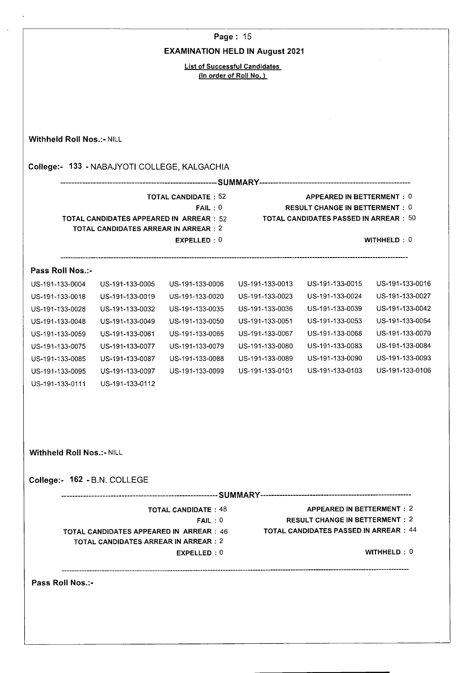**Page:** 15

#### **EXAMINATION HELD IN August 2021**

List of Successful Candidates (In order of Roll No.)

**Withheld Roll Nos.:- NILL College:- 133** - NABAJYOTI COLLEGE, KALGACHIA **SUMMARY**  TOTAL CANDIDATE: 52 APPEARED IN BETTERMENT: 0 FAIL: 0 RESULT CHANGE IN BETTERMENT: 0 TOTAL CANDIDATES APPEARED **IN** ARREAR: 52 TOTAL CANDIDATES PASSED IN ARREAR : 50 TOTAL CANDIDATES ARREAR IN ARREAR: 2 EXPELLED : 0 WITHHELD : 0 **Pass Roll Nos.:**- US-191-133-0004 US-191-133-0005 US-191-133-0006 US-191-133-0013 US-191-133-0015 US-191-133-0016 US-191-133-0018 US-191-133-0019 US-191-133-0020 US-191-133-0023 US-191-133-0024 US-191-133-0027 US-191-133-0028 US-191-133-0032 US-191-133-0035 US-191-133-0036 US-191-133-0039 US-191-133-0042 US-191-133-0048 US-191-133-0049 US-191-133-0050 US-191-133-0051 US-191-133-0053 US-191-133-0054 US-191-133-0059 US-191-133-0061 US-191-133-0065 US-191-133-0067 US-191-133-0068 US-191-133-0070 US-191-133-0075 US-191-133-0077 US-191-133-0079 US-191-133-0080 US-191-133-0083 US-191-133-0084 US-191-133-0085 US-191-133-0087 US-191-133-0088 US-191-133-0089 US-191-133-0090 US-191-133-0093 US-191-133-0095 US-191-133-0097 US-191-133-0099 US-191-133-0101 US-191-133-0103 US-191-133-0106 US-191-133-0111 US-191-133-0112 **Withheld Roll Nos.:- NILL College:- 162** -B.N. COLLEGE **SUMMARY**  APPEARED IN BETTERMENT : 2 TOTAL CANDIDATE : 48 RESULT CHANGE IN BETTERMENT : 2 FAIL : 0 TOTAL **CANDIDATES PASSED IN ARREAR:** 44 TOTAL **CANDIDATES APPEARED IN ARREAR:** 46 TOTAL CANDIDATES ARREAR IN ARREAR: 2 WITHHELD : 0 EXPELLED : 0 **Pass Roll Nos.:**-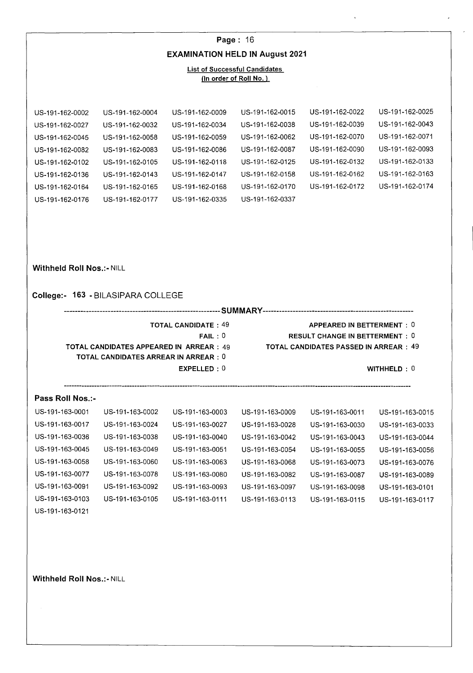## **Page:** 16 **EXAMINATION HELD IN August 2021**

#### **List of Successful Candidates (In order of Roll No.)**

| US-191-162-0002 | US-191-162-0004 | US-191-162-0009 | US-191-162-0015 | US-191-162-0022 | US-191-162-0025 |
|-----------------|-----------------|-----------------|-----------------|-----------------|-----------------|
| US-191-162-0027 | US-191-162-0032 | US-191-162-0034 | US-191-162-0038 | US-191-162-0039 | US-191-162-0043 |
| US-191-162-0045 | US-191-162-0058 | US-191-162-0059 | US-191-162-0062 | US-191-162-0070 | US-191-162-0071 |
| US-191-162-0082 | US-191-162-0083 | US-191-162-0086 | US-191-162-0087 | US-191-162-0090 | US-191-162-0093 |
| US-191-162-0102 | US-191-162-0105 | US-191-162-0118 | US-191-162-0125 | US-191-162-0132 | US-191-162-0133 |
| US-191-162-0136 | US-191-162-0143 | US-191-162-0147 | US-191-162-0158 | US-191-162-0162 | US-191-162-0163 |
| US-191-162-0164 | US-191-162-0165 | US-191-162-0168 | US-191-162-0170 | US-191-162-0172 | US-191-162-0174 |
| US-191-162-0176 | US-191-162-0177 | US-191-162-0335 | US-191-162-0337 |                 |                 |

**Withheld Roll Nos.:- NILL** 

#### **College:- 163** -BILASIPARA COLLEGE

**SUMMARY** 

**TOTAL CANDIDATES APPEARED IN ARREAR:** 49 **TOTAL CANDIDATES PASSED IN ARREAR: 49 TOTAL CANDIDATES ARREAR IN ARREAR: 0** 

- **TOTAL CANDIDATE** : 49 **APPEARED IN BETTERMENT : 0 FAIL :** 0 **RESULT CHANGE IN BETTERMENT : 0** 
	-

**EXPELLED** : 0 **WITHHELD** : 0

**Pass Roll Nos.:**-

| US-191-163-0001 | US-191-163-0002 | US-191-163-0003 | US-191-163-0009 | US-191-163-0011 | US-191-163-0015 |
|-----------------|-----------------|-----------------|-----------------|-----------------|-----------------|
| US-191-163-0017 | US-191-163-0024 | US-191-163-0027 | US-191-163-0028 | US-191-163-0030 | US-191-163-0033 |
| US-191-163-0036 | US-191-163-0038 | US-191-163-0040 | US-191-163-0042 | US-191-163-0043 | US-191-163-0044 |
| US-191-163-0045 | US-191-163-0049 | US-191-163-0051 | US-191-163-0054 | US-191-163-0055 | US-191-163-0056 |
| US-191-163-0058 | US-191-163-0060 | US-191-163-0063 | US-191-163-0068 | US-191-163-0073 | US-191-163-0076 |
| US-191-163-0077 | US-191-163-0078 | US-191-163-0080 | US-191-163-0082 | US-191-163-0087 | US-191-163-0089 |
| US-191-163-0091 | US-191-163-0092 | US-191-163-0093 | US-191-163-0097 | US-191-163-0098 | US-191-163-0101 |
| US-191-163-0103 | US-191-163-0105 | US-191-163-0111 | US-191-163-0113 | US-191-163-0115 | US-191-163-0117 |
|                 |                 |                 |                 |                 |                 |

US-191-163-0121

**Withheld Roll Nos.:- NILL**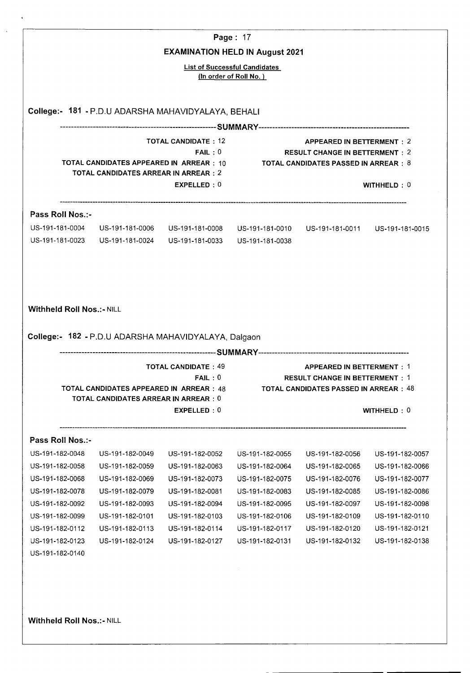|                                                                                                                                                                        |                                                                                          | <b>EXAMINATION HELD IN August 2021</b>                                                   | Page: 17                                                       |                                                                                                                            |                                                                          |
|------------------------------------------------------------------------------------------------------------------------------------------------------------------------|------------------------------------------------------------------------------------------|------------------------------------------------------------------------------------------|----------------------------------------------------------------|----------------------------------------------------------------------------------------------------------------------------|--------------------------------------------------------------------------|
|                                                                                                                                                                        |                                                                                          |                                                                                          | <b>List of Successful Candidates</b><br>(In order of Roll No.) |                                                                                                                            |                                                                          |
|                                                                                                                                                                        |                                                                                          | College:- 181 - P.D.U ADARSHA MAHAVIDYALAYA, BEHALI                                      |                                                                |                                                                                                                            |                                                                          |
|                                                                                                                                                                        |                                                                                          |                                                                                          |                                                                |                                                                                                                            |                                                                          |
|                                                                                                                                                                        | TOTAL CANDIDATES APPEARED IN ARREAR : 10<br><b>TOTAL CANDIDATES ARREAR IN ARREAR : 2</b> | <b>TOTAL CANDIDATE: 12</b><br>FAIL:0<br>EXPELLED: 0                                      |                                                                | <b>APPEARED IN BETTERMENT: 2</b><br><b>RESULT CHANGE IN BETTERMENT : 2</b><br><b>TOTAL CANDIDATES PASSED IN ARREAR : 8</b> | WITHHELD: 0                                                              |
| Pass Roll Nos.:-                                                                                                                                                       |                                                                                          |                                                                                          |                                                                |                                                                                                                            |                                                                          |
| US-191-181-0004                                                                                                                                                        |                                                                                          | US-191-181-0006 US-191-181-0008<br>US-191-181-0023    US-191-181-0024    US-191-181-0033 | US-191-181-0010<br>US-191-181-0038                             | US-191-181-0011 US-191-181-0015                                                                                            |                                                                          |
|                                                                                                                                                                        |                                                                                          | College:- 182 - P.D.U ADARSHA MAHAVIDYALAYA, Dalgaon                                     |                                                                |                                                                                                                            |                                                                          |
|                                                                                                                                                                        | TOTAL CANDIDATES APPEARED IN  ARREAR:48<br><b>TOTAL CANDIDATES ARREAR IN ARREAR : 0</b>  | <b>TOTAL CANDIDATE: 49</b><br>FAIL:0                                                     |                                                                | <b>APPEARED IN BETTERMENT: 1</b><br><b>RESULT CHANGE IN BETTERMENT:1</b><br>TOTAL CANDIDATES PASSED IN ARREAR:48           |                                                                          |
|                                                                                                                                                                        |                                                                                          | EXPELLED: 0                                                                              |                                                                |                                                                                                                            | WITHHELD: 0                                                              |
|                                                                                                                                                                        |                                                                                          |                                                                                          |                                                                |                                                                                                                            |                                                                          |
|                                                                                                                                                                        | US-191-182-0049                                                                          | US-191-182-0052                                                                          | US-191-182-0055                                                | US-191-182-0056                                                                                                            | US-191-182-0057                                                          |
|                                                                                                                                                                        | US-191-182-0059                                                                          | US-191-182-0063                                                                          | US-191-182-0064                                                | US-191-182-0065                                                                                                            |                                                                          |
|                                                                                                                                                                        | US-191-182-0069                                                                          | US-191-182-0073                                                                          | US-191-182-0075                                                | US-191-182-0076                                                                                                            |                                                                          |
|                                                                                                                                                                        | US-191-182-0079                                                                          | US-191-182-0081                                                                          | US-191-182-0083                                                | US-191-182-0085                                                                                                            |                                                                          |
|                                                                                                                                                                        | US-191-182-0093                                                                          | US-191-182-0094                                                                          | US-191-182-0095                                                | US-191-182-0097                                                                                                            | US-191-182-0066<br>US-191-182-0077<br>US-191-182-0086<br>US-191-182-0098 |
| <b>Withheld Roll Nos.:- NILL</b><br>Pass Roll Nos.:-<br>US-191-182-0048<br>US-191-182-0058<br>US-191-182-0068<br>US-191-182-0078<br>US-191-182-0092<br>US-191-182-0099 | US-191-182-0101                                                                          | US-191-182-0103                                                                          | US-191-182-0106                                                | US-191-182-0109                                                                                                            | US-191-182-0110                                                          |
| US-191-182-0112                                                                                                                                                        | US-191-182-0113                                                                          | US-191-182-0114                                                                          | US-191-182-0117                                                | US-191-182-0120                                                                                                            | US-191-182-0121                                                          |
| US-191-182-0123<br>US-191-182-0140                                                                                                                                     | US-191-182-0124                                                                          | US-191-182-0127                                                                          | US-191-182-0131                                                | US-191-182-0132                                                                                                            | US-191-182-0138                                                          |

 $\mathcal{A}$ 

 $\bar{\mathcal{A}}$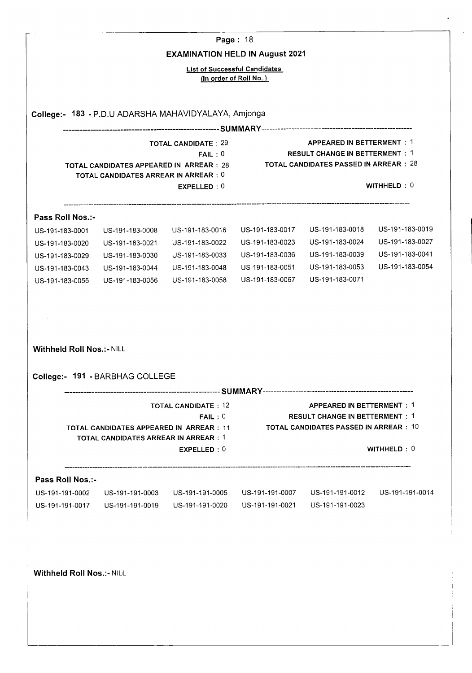|                                     |                                                                                          | Page: 18                                                                       |                                 |                                                                                                                        |                 |
|-------------------------------------|------------------------------------------------------------------------------------------|--------------------------------------------------------------------------------|---------------------------------|------------------------------------------------------------------------------------------------------------------------|-----------------|
|                                     |                                                                                          | <b>EXAMINATION HELD IN August 2021</b><br><b>List of Successful Candidates</b> |                                 |                                                                                                                        |                 |
|                                     |                                                                                          |                                                                                | (In order of Roll No.)          |                                                                                                                        |                 |
|                                     |                                                                                          | College:- 183 - P.D.U ADARSHA MAHAVIDYALAYA, Amjonga                           |                                 |                                                                                                                        |                 |
|                                     |                                                                                          |                                                                                |                                 |                                                                                                                        |                 |
|                                     | TOTAL CANDIDATES APPEARED IN ARREAR : 28<br><b>TOTAL CANDIDATES ARREAR IN ARREAR : 0</b> | <b>TOTAL CANDIDATE: 29</b><br>FAIL:0<br>EXPELLED: 0                            |                                 | <b>APPEARED IN BETTERMENT: 1</b><br><b>RESULT CHANGE IN BETTERMENT: 1</b><br>TOTAL CANDIDATES PASSED IN ARREAR $:\,28$ | WITHHELD: 0     |
|                                     |                                                                                          |                                                                                |                                 |                                                                                                                        |                 |
| Pass Roll Nos.:-<br>US-191-183-0001 | US-191-183-0008                                                                          | US-191-183-0016                                                                | US-191-183-0017                 | US-191-183-0018                                                                                                        | US-191-183-0019 |
| US-191-183-0020                     | US-191-183-0021                                                                          | US-191-183-0022                                                                | US-191-183-0023                 | US-191-183-0024                                                                                                        | US-191-183-0027 |
| US-191-183-0029                     | US-191-183-0030                                                                          | US-191-183-0033                                                                | US-191-183-0036                 | US-191-183-0039                                                                                                        | US-191-183-0041 |
| US-191-183-0043                     | US-191-183-0044                                                                          | US-191-183-0048                                                                | US-191-183-0051                 | US-191-183-0053                                                                                                        | US-191-183-0054 |
| US-191-183-0055                     | US-191-183-0056                                                                          | US-191-183-0058                                                                | US-191-183-0067                 | US-191-183-0071                                                                                                        |                 |
| College:- 191 - BARBHAG COLLEGE     |                                                                                          |                                                                                |                                 |                                                                                                                        |                 |
|                                     |                                                                                          | <b>TOTAL CANDIDATE: 12</b>                                                     |                                 | <b>APPEARED IN BETTERMENT: 1</b>                                                                                       |                 |
|                                     |                                                                                          | FAIL:0<br>TOTAL CANDIDATES APPEARED IN ARREAR : 11                             |                                 | <b>RESULT CHANGE IN BETTERMENT: 1</b><br>TOTAL CANDIDATES PASSED IN ARREAR $\pm$ 10                                    |                 |
|                                     | <b>TOTAL CANDIDATES ARREAR IN ARREAR: 1</b>                                              | EXPELLED: 0                                                                    |                                 |                                                                                                                        | WITHHELD: 0     |
| Pass Roll Nos.:-                    |                                                                                          |                                                                                |                                 |                                                                                                                        |                 |
|                                     | US-191-191-0003                                                                          | US-191-191-0005                                                                |                                 |                                                                                                                        |                 |
| US-191-191-0002                     | US-191-191-0019                                                                          | US-191-191-0020                                                                | US-191-191-0021 US-191-191-0023 |                                                                                                                        |                 |
| US-191-191-0017                     |                                                                                          |                                                                                |                                 |                                                                                                                        |                 |
|                                     |                                                                                          |                                                                                |                                 |                                                                                                                        |                 |
| <b>Withheld Roll Nos.:- NILL</b>    |                                                                                          |                                                                                |                                 |                                                                                                                        |                 |
|                                     |                                                                                          |                                                                                |                                 |                                                                                                                        |                 |
|                                     |                                                                                          |                                                                                |                                 |                                                                                                                        |                 |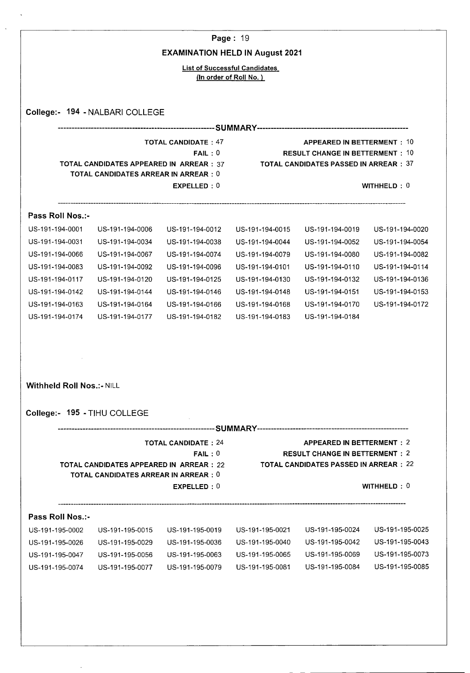|                                  |                                                                                         |                                        | Page: 19                             |                                               |                 |
|----------------------------------|-----------------------------------------------------------------------------------------|----------------------------------------|--------------------------------------|-----------------------------------------------|-----------------|
|                                  |                                                                                         | <b>EXAMINATION HELD IN August 2021</b> |                                      |                                               |                 |
|                                  |                                                                                         |                                        | <b>List of Successful Candidates</b> |                                               |                 |
|                                  |                                                                                         |                                        | (In order of Roll No.)               |                                               |                 |
|                                  |                                                                                         |                                        |                                      |                                               |                 |
|                                  | College:- 194 - NALBARI COLLEGE                                                         |                                        |                                      |                                               |                 |
|                                  |                                                                                         |                                        |                                      |                                               |                 |
|                                  |                                                                                         | <b>TOTAL CANDIDATE: 47</b>             |                                      | <b>APPEARED IN BETTERMENT: 10</b>             |                 |
|                                  |                                                                                         | FAIL:0                                 |                                      | <b>RESULT CHANGE IN BETTERMENT: 10</b>        |                 |
|                                  | <b>TOTAL CANDIDATES APPEARED IN ARREAR : 37</b>                                         |                                        |                                      | <b>TOTAL CANDIDATES PASSED IN ARREAR: 37</b>  |                 |
|                                  | <b>TOTAL CANDIDATES ARREAR IN ARREAR : 0</b>                                            |                                        |                                      |                                               |                 |
|                                  |                                                                                         | EXPELLED: 0                            |                                      |                                               | WITHHELD: 0     |
| Pass Roll Nos.:-                 |                                                                                         |                                        |                                      |                                               |                 |
| US-191-194-0001                  | US-191-194-0006                                                                         | US-191-194-0012                        | US-191-194-0015                      | US-191-194-0019                               | US-191-194-0020 |
| US-191-194-0031                  | US-191-194-0034                                                                         | US-191-194-0038                        | US-191-194-0044                      | US-191-194-0052                               | US-191-194-0054 |
| US-191-194-0066                  | US-191-194-0067                                                                         | US-191-194-0074                        | US-191-194-0079                      | US-191-194-0080                               | US-191-194-0082 |
| US-191-194-0083                  | US-191-194-0092                                                                         | US-191-194-0096                        | US-191-194-0101                      | US-191-194-0110                               | US-191-194-0114 |
| US-191-194-0117                  | US-191-194-0120                                                                         | US-191-194-0125                        | US-191-194-0130                      | US-191-194-0132                               | US-191-194-0136 |
| US-191-194-0142                  | US-191-194-0144                                                                         | US-191-194-0146                        | US-191-194-0148                      | US-191-194-0151                               | US-191-194-0153 |
| US-191-194-0163                  | US-191-194-0164                                                                         | US-191-194-0166                        | US-191-194-0168                      | US-191-194-0170                               | US-191-194-0172 |
| US-191-194-0174                  | US-191-194-0177                                                                         | US-191-194-0182                        | US-191-194-0183                      | US-191-194-0184                               |                 |
|                                  |                                                                                         |                                        |                                      |                                               |                 |
|                                  |                                                                                         |                                        |                                      |                                               |                 |
|                                  |                                                                                         |                                        |                                      |                                               |                 |
|                                  |                                                                                         |                                        |                                      |                                               |                 |
| <b>Withheld Roll Nos.:- NILL</b> |                                                                                         |                                        |                                      |                                               |                 |
|                                  |                                                                                         |                                        |                                      |                                               |                 |
|                                  | College:- 195 - TIHU COLLEGE                                                            |                                        |                                      |                                               |                 |
|                                  |                                                                                         |                                        |                                      |                                               |                 |
|                                  |                                                                                         | <b>TOTAL CANDIDATE: 24</b>             |                                      | <b>APPEARED IN BETTERMENT: 2</b>              |                 |
|                                  |                                                                                         | FAIL:0                                 |                                      | <b>RESULT CHANGE IN BETTERMENT: 2</b>         |                 |
|                                  | TOTAL CANDIDATES APPEARED IN ARREAR : 22<br><b>TOTAL CANDIDATES ARREAR IN ARREAR: 0</b> |                                        |                                      | <b>TOTAL CANDIDATES PASSED IN ARREAR : 22</b> |                 |
|                                  |                                                                                         | EXPELLED: 0                            |                                      |                                               | WITHHELD: 0     |
|                                  |                                                                                         |                                        |                                      |                                               |                 |

|  | Pass Roll Nos.:- |  |
|--|------------------|--|
|  |                  |  |

 $\bar{\beta}$ 

 $\hat{\mathbf{v}}$ 

 $\hat{\mathcal{A}}$ 

| US-191-195-0002 | US-191-195-0015 | US-191-195-0019 | US-191-195-0021 | US-191-195-0024 | US-191-195-0025 |
|-----------------|-----------------|-----------------|-----------------|-----------------|-----------------|
| US-191-195-0026 | US-191-195-0029 | US-191-195-0036 | US-191-195-0040 | US-191-195-0042 | US-191-195-0043 |
| US-191-195-0047 | US-191-195-0056 | US-191-195-0063 | US-191-195-0065 | US-191-195-0069 | US-191-195-0073 |
| US-191-195-0074 | US-191-195-0077 | US-191-195-0079 | US-191-195-0081 | US-191-195-0084 | US-191-195-0085 |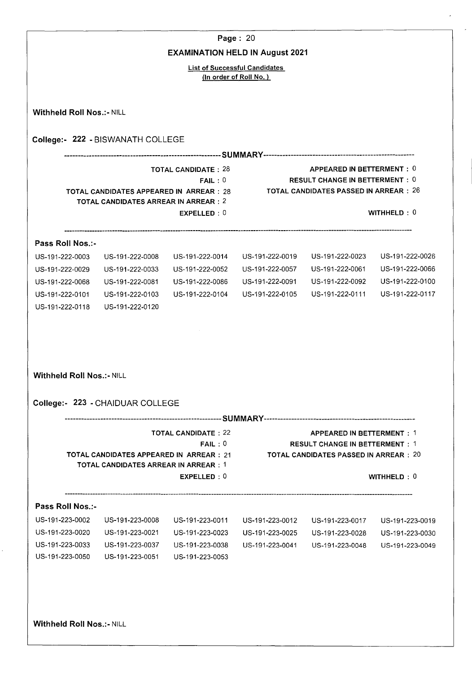|                                  |                                                                                         |                                        | Page: 20                             |                                                                                                             |                 |
|----------------------------------|-----------------------------------------------------------------------------------------|----------------------------------------|--------------------------------------|-------------------------------------------------------------------------------------------------------------|-----------------|
|                                  |                                                                                         | <b>EXAMINATION HELD IN August 2021</b> | <b>List of Successful Candidates</b> |                                                                                                             |                 |
|                                  |                                                                                         |                                        | (In order of Roll No.)               |                                                                                                             |                 |
| <b>Withheld Roll Nos.:- NILL</b> |                                                                                         |                                        |                                      |                                                                                                             |                 |
|                                  | College:- 222 - BISWANATH COLLEGE                                                       |                                        |                                      |                                                                                                             |                 |
|                                  |                                                                                         |                                        |                                      |                                                                                                             |                 |
|                                  | <b>TOTAL CANDIDATES APPEARED IN ARREAR: 28</b><br>TOTAL CANDIDATES ARREAR IN ARREAR : 2 | <b>TOTAL CANDIDATE: 28</b><br>FAIL:0   |                                      | APPEARED IN BETTERMENT: 0<br><b>RESULT CHANGE IN BETTERMENT: 0</b><br>TOTAL CANDIDATES PASSED IN ARREAR:26  |                 |
|                                  |                                                                                         | EXPELLED: 0                            |                                      |                                                                                                             | WITHHELD: 0     |
| Pass Roll Nos.:-                 |                                                                                         |                                        |                                      |                                                                                                             |                 |
| US-191-222-0003                  | US-191-222-0008                                                                         | US-191-222-0014                        | US-191-222-0019                      | US-191-222-0023                                                                                             | US-191-222-0026 |
| US-191-222-0029                  | US-191-222-0033                                                                         | US-191-222-0052                        | US-191-222-0057                      | US-191-222-0061                                                                                             | US-191-222-0066 |
| US-191-222-0068                  | US-191-222-0081                                                                         | US-191-222-0086                        | US-191-222-0091                      | US-191-222-0092                                                                                             | US-191-222-0100 |
| US-191-222-0101                  | US-191-222-0103                                                                         | US-191-222-0104                        | US-191-222-0105                      | US-191-222-0111                                                                                             | US-191-222-0117 |
| US-191-222-0118                  | US-191-222-0120                                                                         |                                        |                                      |                                                                                                             |                 |
| <b>Withheld Roll Nos.:- NILL</b> | College:- 223 - CHAIDUAR COLLEGE                                                        |                                        |                                      |                                                                                                             |                 |
|                                  |                                                                                         |                                        |                                      |                                                                                                             |                 |
|                                  | <b>TOTAL CANDIDATES APPEARED IN ARREAR : 21</b>                                         | <b>TOTAL CANDIDATE: 22</b><br>FAIL:0   |                                      | APPEARED IN BETTERMENT: 1<br><b>RESULT CHANGE IN BETTERMENT: 1</b><br>TOTAL CANDIDATES PASSED IN ARREAR: 20 |                 |
|                                  | <b>TOTAL CANDIDATES ARREAR IN ARREAR : 1</b>                                            | EXPELLED: 0                            |                                      |                                                                                                             | WITHHELD: 0     |
| Pass Roll Nos.:-                 |                                                                                         |                                        |                                      |                                                                                                             |                 |
| US-191-223-0002                  | US-191-223-0008                                                                         | US-191-223-0011                        | US-191-223-0012                      | US-191-223-0017                                                                                             | US-191-223-0019 |
| US-191-223-0020                  | US-191-223-0021                                                                         | US-191-223-0023                        | US-191-223-0025                      | US-191-223-0028                                                                                             | US-191-223-0030 |
| US-191-223-0033                  | US-191-223-0037                                                                         | US-191-223-0038                        | US-191-223-0041                      | US-191-223-0048                                                                                             | US-191-223-0049 |
| US-191-223-0050                  | US-191-223-0051                                                                         | US-191-223-0053                        |                                      |                                                                                                             |                 |
|                                  |                                                                                         |                                        |                                      |                                                                                                             |                 |
|                                  |                                                                                         |                                        |                                      |                                                                                                             |                 |
| Withheld Roll Nos.:- NILL        |                                                                                         |                                        |                                      |                                                                                                             |                 |

 $\overline{a}$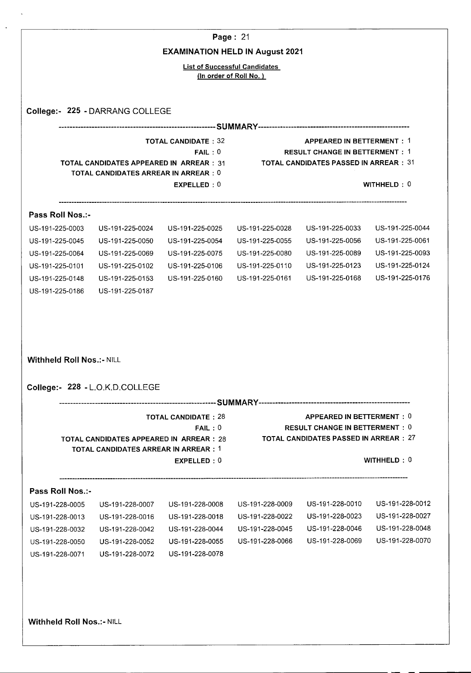|                                                                                                                                                     |                                                                                               |                                                     | Page: 21                             |                                                                                                                     |                 |
|-----------------------------------------------------------------------------------------------------------------------------------------------------|-----------------------------------------------------------------------------------------------|-----------------------------------------------------|--------------------------------------|---------------------------------------------------------------------------------------------------------------------|-----------------|
|                                                                                                                                                     |                                                                                               | <b>EXAMINATION HELD IN August 2021</b>              | <b>List of Successful Candidates</b> |                                                                                                                     |                 |
|                                                                                                                                                     |                                                                                               |                                                     | (In order of Roll No.)               |                                                                                                                     |                 |
|                                                                                                                                                     |                                                                                               |                                                     |                                      |                                                                                                                     |                 |
|                                                                                                                                                     | College:- 225 - DARRANG COLLEGE                                                               |                                                     |                                      |                                                                                                                     |                 |
|                                                                                                                                                     | <b>TOTAL CANDIDATES APPEARED IN ARREAR: 31</b><br><b>TOTAL CANDIDATES ARREAR IN ARREAR: 0</b> | <b>TOTAL CANDIDATE: 32</b><br>FAIL:0<br>EXPELLED: 0 |                                      | <b>APPEARED IN BETTERMENT: 1</b><br><b>RESULT CHANGE IN BETTERMENT: 1</b><br>TOTAL CANDIDATES PASSED IN ARREAR:31   | WITHHELD: 0     |
|                                                                                                                                                     |                                                                                               |                                                     |                                      |                                                                                                                     |                 |
| Pass Roll Nos.:-                                                                                                                                    |                                                                                               |                                                     |                                      |                                                                                                                     |                 |
| US-191-225-0003                                                                                                                                     | US-191-225-0024                                                                               | US-191-225-0025                                     | US-191-225-0028                      | US-191-225-0033                                                                                                     | US-191-225-0044 |
| US-191-225-0045                                                                                                                                     | US-191-225-0050                                                                               | US-191-225-0054                                     | US-191-225-0055                      | US-191-225-0056                                                                                                     | US-191-225-0061 |
| US-191-225-0064                                                                                                                                     | US-191-225-0069                                                                               | US-191-225-0075                                     | US-191-225-0080                      | US-191-225-0089                                                                                                     | US-191-225-0093 |
| US-191-225-0101                                                                                                                                     | US-191-225-0102                                                                               | US-191-225-0106                                     | US-191-225-0110                      | US-191-225-0123                                                                                                     | US-191-225-0124 |
| US-191-225-0148                                                                                                                                     | US-191-225-0153                                                                               | US-191-225-0160                                     | US-191-225-0161                      | US-191-225-0168                                                                                                     | US-191-225-0176 |
|                                                                                                                                                     |                                                                                               |                                                     |                                      |                                                                                                                     |                 |
|                                                                                                                                                     |                                                                                               |                                                     |                                      |                                                                                                                     |                 |
|                                                                                                                                                     | College:- 228 - L.O.K.D.COLLEGE                                                               |                                                     |                                      |                                                                                                                     |                 |
|                                                                                                                                                     | <b>TOTAL CANDIDATES APPEARED IN ARREAR: 28</b><br>TOTAL CANDIDATES ARREAR IN ARREAR : 1       | <b>TOTAL CANDIDATE: 28</b><br>FAIL:0                |                                      | APPEARED IN BETTERMENT: 0<br><b>RESULT CHANGE IN BETTERMENT: 0</b><br><b>TOTAL CANDIDATES PASSED IN ARREAR : 27</b> |                 |
|                                                                                                                                                     |                                                                                               | EXPELLED: 0                                         |                                      |                                                                                                                     | WITHHELD: 0     |
|                                                                                                                                                     |                                                                                               |                                                     |                                      |                                                                                                                     |                 |
|                                                                                                                                                     | US-191-228-0007                                                                               | US-191-228-0008                                     | US-191-228-0009                      | US-191-228-0010                                                                                                     | US-191-228-0012 |
|                                                                                                                                                     | US-191-228-0016                                                                               | US-191-228-0018                                     | US-191-228-0022                      | US-191-228-0023                                                                                                     | US-191-228-0027 |
|                                                                                                                                                     | US-191-228-0042                                                                               | US-191-228-0044                                     | US-191-228-0045                      | US-191-228-0046                                                                                                     | US-191-228-0048 |
|                                                                                                                                                     | US-191-228-0052                                                                               | US-191-228-0055                                     | US-191-228-0066                      | US-191-228-0069                                                                                                     | US-191-228-0070 |
|                                                                                                                                                     | US-191-228-0072                                                                               | US-191-228-0078                                     |                                      |                                                                                                                     |                 |
| <b>Withheld Roll Nos.:- NILL</b><br>Pass Roll Nos.:-<br>US-191-228-0005<br>US-191-228-0013<br>US-191-228-0032<br>US-191-228-0050<br>US-191-228-0071 |                                                                                               |                                                     |                                      |                                                                                                                     |                 |

 $\ddot{\phantom{a}}$ 

 $\ddot{\phantom{0}}$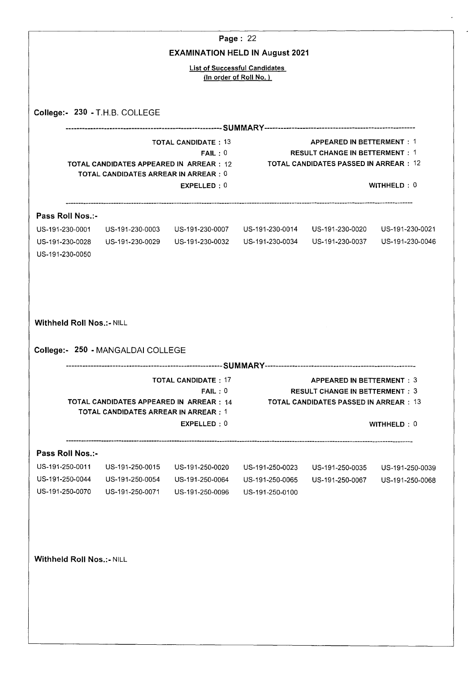|                                    |                                                                                                                        |                                                     | Page: 22                                                                 |                                                                                                                            |                 |
|------------------------------------|------------------------------------------------------------------------------------------------------------------------|-----------------------------------------------------|--------------------------------------------------------------------------|----------------------------------------------------------------------------------------------------------------------------|-----------------|
|                                    |                                                                                                                        | <b>EXAMINATION HELD IN August 2021</b>              | <b>List of Successful Candidates</b>                                     |                                                                                                                            |                 |
|                                    |                                                                                                                        |                                                     | (In order of Roll No.)                                                   |                                                                                                                            |                 |
|                                    |                                                                                                                        |                                                     |                                                                          |                                                                                                                            |                 |
|                                    | College:- 230 - T.H.B. COLLEGE                                                                                         |                                                     |                                                                          |                                                                                                                            |                 |
|                                    | TOTAL CANDIDATES APPEARED IN ARREAR : 12<br><b>TOTAL CANDIDATES ARREAR IN ARREAR : 0</b>                               | <b>TOTAL CANDIDATE: 13</b><br>FAIL:0<br>EXPELLED: 0 | <b>TOTAL CANDIDATES PASSED IN ARREAR : 12</b>                            | <b>APPEARED IN BETTERMENT: 1</b><br><b>RESULT CHANGE IN BETTERMENT: 1</b>                                                  | WITHHELD: 0     |
| Pass Roll Nos.:-                   |                                                                                                                        |                                                     |                                                                          |                                                                                                                            |                 |
|                                    | US-191-230-0001 US-191-230-0003                                                                                        |                                                     | US-191-230-0007    US-191-230-0014    US-191-230-0020    US-191-230-0021 |                                                                                                                            |                 |
| US-191-230-0028<br>US-191-230-0050 | US-191-230-0029                                                                                                        | US-191-230-0032                                     |                                                                          | US-191-230-0034  US-191-230-0037                                                                                           | US-191-230-0046 |
| <b>Withheld Roll Nos.:- NILL</b>   |                                                                                                                        |                                                     |                                                                          |                                                                                                                            |                 |
|                                    | College:- 250 - MANGALDAI COLLEGE<br>TOTAL CANDIDATES APPEARED IN ARREAR : 14<br>TOTAL CANDIDATES ARREAR IN ARREAR : 1 | <b>TOTAL CANDIDATE: 17</b><br>FAIL:0<br>EXPELLED: 0 |                                                                          | <b>APPEARED IN BETTERMENT: 3</b><br><b>RESULT CHANGE IN BETTERMENT: 3</b><br><b>TOTAL CANDIDATES PASSED IN ARREAR : 13</b> | WITHHELD: 0     |
| Pass Roll Nos.:-                   |                                                                                                                        |                                                     |                                                                          |                                                                                                                            |                 |
| US-191-250-0011                    | US-191-250-0015                                                                                                        | US-191-250-0020                                     | US-191-250-0023                                                          | US-191-250-0035                                                                                                            | US-191-250-0039 |
| US-191-250-0044<br>US-191-250-0070 | US-191-250-0054<br>US-191-250-0071                                                                                     | US-191-250-0064<br>US-191-250-0096                  | US-191-250-0065<br>US-191-250-0100                                       | US-191-250-0067                                                                                                            | US-191-250-0068 |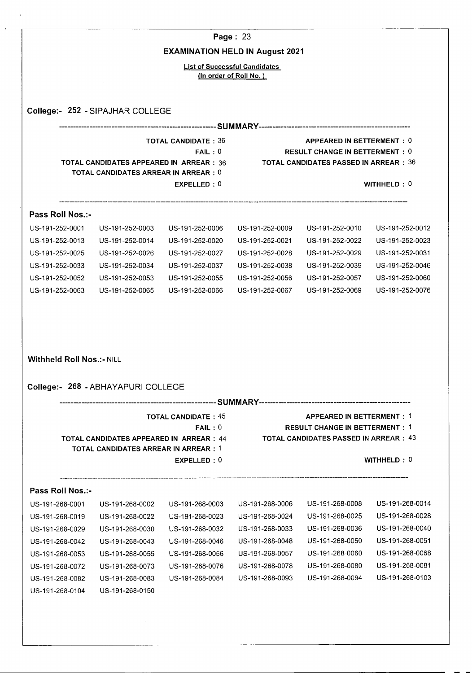|                                                                                                                                                                                           |                                                                                                |                                        | Page: 23                             |                                                                                                                    |                                    |
|-------------------------------------------------------------------------------------------------------------------------------------------------------------------------------------------|------------------------------------------------------------------------------------------------|----------------------------------------|--------------------------------------|--------------------------------------------------------------------------------------------------------------------|------------------------------------|
|                                                                                                                                                                                           |                                                                                                | <b>EXAMINATION HELD IN August 2021</b> |                                      |                                                                                                                    |                                    |
|                                                                                                                                                                                           |                                                                                                |                                        | <b>List of Successful Candidates</b> |                                                                                                                    |                                    |
|                                                                                                                                                                                           |                                                                                                |                                        | (In order of Roll No.)               |                                                                                                                    |                                    |
|                                                                                                                                                                                           |                                                                                                |                                        |                                      |                                                                                                                    |                                    |
|                                                                                                                                                                                           | College:- 252 - SIPAJHAR COLLEGE                                                               |                                        |                                      |                                                                                                                    |                                    |
|                                                                                                                                                                                           |                                                                                                |                                        |                                      |                                                                                                                    |                                    |
|                                                                                                                                                                                           | <b>TOTAL CANDIDATES APPEARED IN ARREAR: 36</b><br><b>TOTAL CANDIDATES ARREAR IN ARREAR : 0</b> | <b>TOTAL CANDIDATE: 36</b><br>FAIL:0   |                                      | APPEARED IN BETTERMENT: 0<br><b>RESULT CHANGE IN BETTERMENT: 0</b><br>TOTAL CANDIDATES PASSED IN ARREAR:36         |                                    |
|                                                                                                                                                                                           |                                                                                                | EXPELLED: 0                            |                                      |                                                                                                                    | WITHHELD: $0$                      |
| Pass Roll Nos.:-                                                                                                                                                                          |                                                                                                |                                        |                                      |                                                                                                                    |                                    |
| US-191-252-0001                                                                                                                                                                           | US-191-252-0003                                                                                | US-191-252-0006                        | US-191-252-0009                      | US-191-252-0010                                                                                                    | US-191-252-0012                    |
| US-191-252-0013                                                                                                                                                                           | US-191-252-0014                                                                                | US-191-252-0020                        | US-191-252-0021                      | US-191-252-0022                                                                                                    | US-191-252-0023                    |
| US-191-252-0025                                                                                                                                                                           | US-191-252-0026                                                                                | US-191-252-0027                        | US-191-252-0028                      | US-191-252-0029                                                                                                    | US-191-252-0031                    |
| US-191-252-0033                                                                                                                                                                           | US-191-252-0034                                                                                | US-191-252-0037                        | US-191-252-0038                      | US-191-252-0039                                                                                                    | US-191-252-0046                    |
| US-191-252-0052                                                                                                                                                                           | US-191-252-0053                                                                                | US-191-252-0055                        | US-191-252-0056                      | US-191-252-0057                                                                                                    | US-191-252-0060                    |
|                                                                                                                                                                                           |                                                                                                | US-191-252-0066                        | US-191-252-0067                      | US-191-252-0069                                                                                                    | US-191-252-0076                    |
| US-191-252-0063                                                                                                                                                                           | US-191-252-0065                                                                                |                                        |                                      |                                                                                                                    |                                    |
|                                                                                                                                                                                           |                                                                                                |                                        |                                      |                                                                                                                    |                                    |
|                                                                                                                                                                                           | College:- 268 - ABHAYAPURI COLLEGE                                                             |                                        |                                      |                                                                                                                    |                                    |
|                                                                                                                                                                                           | TOTAL CANDIDATES APPEARED IN ARREAR : 44<br>TOTAL CANDIDATES ARREAR IN ARREAR:1                | <b>TOTAL CANDIDATE: 45</b><br>FAIL:0   |                                      | APPEARED IN BETTERMENT: 1<br><b>RESULT CHANGE IN BETTERMENT: 1</b><br><b>TOTAL CANDIDATES PASSED IN ARREAR: 43</b> |                                    |
|                                                                                                                                                                                           |                                                                                                | EXPELLED: 0                            |                                      |                                                                                                                    | WITHHELD : $0$                     |
|                                                                                                                                                                                           |                                                                                                |                                        |                                      |                                                                                                                    |                                    |
|                                                                                                                                                                                           | US-191-268-0002                                                                                | US-191-268-0003                        | US-191-268-0006                      | US-191-268-0008                                                                                                    | US-191-268-0014                    |
|                                                                                                                                                                                           | US-191-268-0022                                                                                | US-191-268-0023                        | US-191-268-0024                      | US-191-268-0025                                                                                                    |                                    |
|                                                                                                                                                                                           | US-191-268-0030                                                                                | US-191-268-0032                        | US-191-268-0033                      | US-191-268-0036                                                                                                    | US-191-268-0028<br>US-191-268-0040 |
|                                                                                                                                                                                           | US-191-268-0043                                                                                | US-191-268-0046                        | US-191-268-0048                      | US-191-268-0050                                                                                                    | US-191-268-0051                    |
|                                                                                                                                                                                           | US-191-268-0055                                                                                | US-191-268-0056                        | US-191-268-0057                      | US-191-268-0060                                                                                                    | US-191-268-0068                    |
|                                                                                                                                                                                           | US-191-268-0073                                                                                | US-191-268-0076                        | US-191-268-0078                      | US-191-268-0080                                                                                                    |                                    |
| <b>Withheld Roll Nos.:- NILL</b><br>Pass Roll Nos.:-<br>US-191-268-0001<br>US-191-268-0019<br>US-191-268-0029<br>US-191-268-0042<br>US-191-268-0053<br>US-191-268-0072<br>US-191-268-0082 | US-191-268-0083                                                                                | US-191-268-0084                        | US-191-268-0093                      | US-191-268-0094                                                                                                    | US-191-268-0081<br>US-191-268-0103 |

 $\hat{\mathcal{A}}$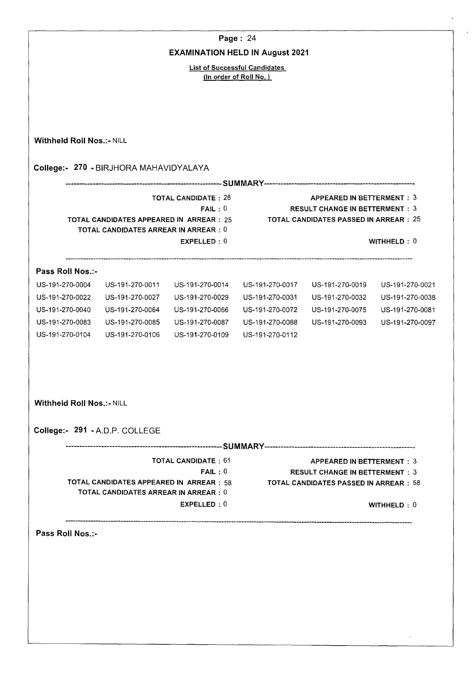|                                  |                                                 |                                        | Page: 24                             |                                                                                        |                 |  |  |  |
|----------------------------------|-------------------------------------------------|----------------------------------------|--------------------------------------|----------------------------------------------------------------------------------------|-----------------|--|--|--|
|                                  |                                                 | <b>EXAMINATION HELD IN August 2021</b> |                                      |                                                                                        |                 |  |  |  |
|                                  |                                                 |                                        | <b>List of Successful Candidates</b> |                                                                                        |                 |  |  |  |
|                                  |                                                 |                                        | (In order of Roll No.)               |                                                                                        |                 |  |  |  |
|                                  |                                                 |                                        |                                      |                                                                                        |                 |  |  |  |
|                                  |                                                 |                                        |                                      |                                                                                        |                 |  |  |  |
|                                  |                                                 |                                        |                                      |                                                                                        |                 |  |  |  |
| <b>Withheld Roll Nos.:- NILL</b> |                                                 |                                        |                                      |                                                                                        |                 |  |  |  |
|                                  |                                                 |                                        |                                      |                                                                                        |                 |  |  |  |
|                                  | College:- 270 - BIRJHORA MAHAVIDYALAYA          |                                        |                                      |                                                                                        |                 |  |  |  |
|                                  |                                                 | <b>TOTAL CANDIDATE: 28</b>             |                                      | APPEARED IN BETTERMENT: 3                                                              |                 |  |  |  |
|                                  |                                                 | FAIL:0                                 |                                      | <b>RESULT CHANGE IN BETTERMENT: 3</b>                                                  |                 |  |  |  |
|                                  | <b>TOTAL CANDIDATES APPEARED IN ARREAR: 25</b>  |                                        |                                      | <b>TOTAL CANDIDATES PASSED IN ARREAR : 25</b>                                          |                 |  |  |  |
|                                  | <b>TOTAL CANDIDATES ARREAR IN ARREAR: 0</b>     | EXPELLED: 0                            |                                      |                                                                                        | WITHHELD: 0     |  |  |  |
|                                  |                                                 |                                        |                                      |                                                                                        |                 |  |  |  |
| Pass Roll Nos.:-                 |                                                 |                                        |                                      |                                                                                        |                 |  |  |  |
| US-191-270-0004                  | US-191-270-0011                                 | US-191-270-0014                        | US-191-270-0017                      | US-191-270-0019                                                                        | US-191-270-0021 |  |  |  |
| US-191-270-0022                  | US-191-270-0027                                 | US-191-270-0029                        | US-191-270-0031                      | US-191-270-0032                                                                        | US-191-270-0038 |  |  |  |
| US-191-270-0040                  | US-191-270-0064                                 | US-191-270-0066                        | US-191-270-0072                      | US-191-270-0075                                                                        | US-191-270-0081 |  |  |  |
| US-191-270-0083                  | US-191-270-0085                                 | US-191-270-0087                        | US-191-270-0088                      | US-191-270-0093                                                                        | US-191-270-0097 |  |  |  |
| US-191-270-0104                  | US-191-270-0106                                 | US-191-270-0109                        | US-191-270-0112                      |                                                                                        |                 |  |  |  |
|                                  |                                                 |                                        |                                      |                                                                                        |                 |  |  |  |
| <b>Withheld Roll Nos.:- NILL</b> |                                                 |                                        |                                      |                                                                                        |                 |  |  |  |
| College:- 291 - A.D.P. COLLEGE   |                                                 |                                        |                                      |                                                                                        |                 |  |  |  |
|                                  |                                                 |                                        |                                      |                                                                                        |                 |  |  |  |
|                                  |                                                 | <b>TOTAL CANDIDATE: 61</b>             |                                      | <b>APPEARED IN BETTERMENT: 3</b>                                                       |                 |  |  |  |
|                                  | <b>TOTAL CANDIDATES APPEARED IN ARREAR : 58</b> | FAIL:0                                 |                                      | <b>RESULT CHANGE IN BETTERMENT: 3</b><br><b>TOTAL CANDIDATES PASSED IN ARREAR : 58</b> |                 |  |  |  |
|                                  | TOTAL CANDIDATES ARREAR IN ARREAR : 0           |                                        |                                      |                                                                                        |                 |  |  |  |
|                                  |                                                 | EXPELLED: 0                            |                                      |                                                                                        | WITHHELD: 0     |  |  |  |
|                                  |                                                 |                                        |                                      |                                                                                        |                 |  |  |  |
| Pass Roll Nos :-                 |                                                 |                                        |                                      |                                                                                        |                 |  |  |  |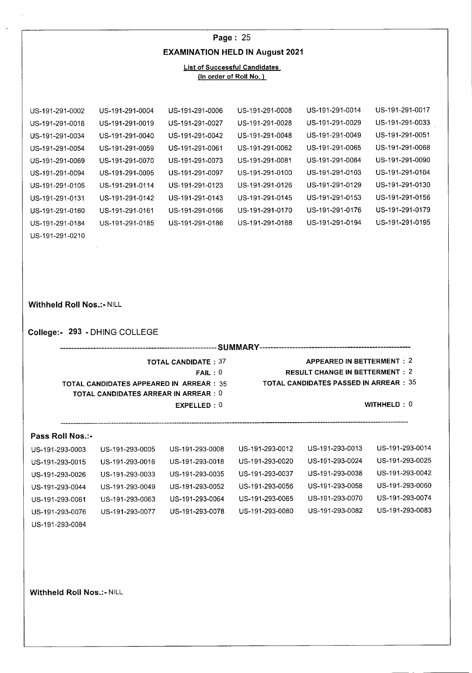|                                  |                                                                                               |                                                     | Page: 25                             |                                                                                                                     |                 |  |
|----------------------------------|-----------------------------------------------------------------------------------------------|-----------------------------------------------------|--------------------------------------|---------------------------------------------------------------------------------------------------------------------|-----------------|--|
|                                  |                                                                                               | <b>EXAMINATION HELD IN August 2021</b>              |                                      |                                                                                                                     |                 |  |
|                                  |                                                                                               |                                                     | <b>List of Successful Candidates</b> |                                                                                                                     |                 |  |
|                                  |                                                                                               |                                                     | (In order of Roll No.)               |                                                                                                                     |                 |  |
|                                  |                                                                                               |                                                     |                                      |                                                                                                                     |                 |  |
| US-191-291-0002                  | US-191-291-0004                                                                               | US-191-291-0006                                     | US-191-291-0008                      | US-191-291-0014                                                                                                     | US-191-291-0017 |  |
| US-191-291-0018                  | US-191-291-0019                                                                               | US-191-291-0027                                     | US-191-291-0028                      | US-191-291-0029                                                                                                     | US-191-291-0033 |  |
| US-191-291-0034                  | US-191-291-0040                                                                               | US-191-291-0042                                     | US-191-291-0048                      | US-191-291-0049                                                                                                     | US-191-291-0051 |  |
| US-191-291-0054                  | US-191-291-0059                                                                               | US-191-291-0061                                     | US-191-291-0062                      | US-191-291-0065                                                                                                     | US-191-291-0068 |  |
| US-191-291-0069                  | US-191-291-0070                                                                               | US-191-291-0073                                     | US-191-291-0081                      | US-191-291-0084                                                                                                     | US-191-291-0090 |  |
| US-191-291-0094                  | US-191-291-0095                                                                               | US-191-291-0097                                     | US-191-291-0100                      | US-191-291-0103                                                                                                     | US-191-291-0104 |  |
| US-191-291-0105                  | US-191-291-0114                                                                               | US-191-291-0123                                     | US-191-291-0126                      | US-191-291-0129                                                                                                     | US-191-291-0130 |  |
| US-191-291-0131                  | US-191-291-0142                                                                               | US-191-291-0143                                     | US-191-291-0145                      | US-191-291-0153                                                                                                     | US-191-291-0156 |  |
| US-191-291-0160                  | US-191-291-0161                                                                               | US-191-291-0166                                     | US-191-291-0170                      | US-191-291-0176                                                                                                     | US-191-291-0179 |  |
| US-191-291-0184                  | US-191-291-0185                                                                               | US-191-291-0186                                     | US-191-291-0188                      | US-191-291-0194                                                                                                     | US-191-291-0195 |  |
| US-191-291-0210                  |                                                                                               |                                                     |                                      |                                                                                                                     |                 |  |
| <b>Withheld Roll Nos.:- NILL</b> | College:- 293 - DHING COLLEGE                                                                 |                                                     |                                      |                                                                                                                     |                 |  |
|                                  |                                                                                               |                                                     |                                      |                                                                                                                     |                 |  |
|                                  | <b>TOTAL CANDIDATES APPEARED IN ARREAR: 35</b><br><b>TOTAL CANDIDATES ARREAR IN ARREAR: 0</b> | <b>TOTAL CANDIDATE: 37</b><br>FAIL:0<br>EXPELLED: 0 |                                      | APPEARED IN BETTERMENT: 2<br><b>RESULT CHANGE IN BETTERMENT: 2</b><br><b>TOTAL CANDIDATES PASSED IN ARREAR : 35</b> | WITHHELD: 0     |  |
| Pass Roll Nos.:-                 |                                                                                               |                                                     |                                      |                                                                                                                     |                 |  |
| US-191-293-0003                  | US-191-293-0005                                                                               | US-191-293-0008                                     | US-191-293-0012                      | US-191-293-0013                                                                                                     | US-191-293-0014 |  |
| US-191-293-0015                  | US-191-293-0016                                                                               | US-191-293-0018                                     | US-191-293-0020                      | US-191-293-0024                                                                                                     | US-191-293-0025 |  |
| US-191-293-0026                  | US-191-293-0033                                                                               | US-191-293-0035                                     | US-191-293-0037                      | US-191-293-0038                                                                                                     | US-191-293-0042 |  |
| US-191-293-0044                  | US-191-293-0049                                                                               | US-191-293-0052                                     | US-191-293-0056                      | US-191-293-0058                                                                                                     | US-191-293-0060 |  |
| US-191-293-0061                  | US-191-293-0063                                                                               | US-191-293-0064                                     | US-191-293-0065                      | US-191-293-0070                                                                                                     | US-191-293-0074 |  |
| US-191-293-0076                  | US-191-293-0077                                                                               | US-191-293-0078                                     | US-191-293-0080                      | US-191-293-0082                                                                                                     | US-191-293-0083 |  |
| US-191-293-0084                  |                                                                                               |                                                     |                                      |                                                                                                                     |                 |  |

**Withheld Roll Nos.:- NILL** 

 $\langle \cdot, \cdot \rangle$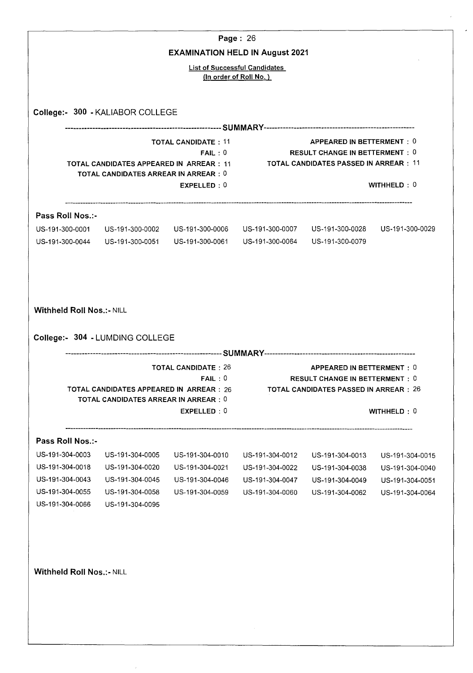|                                    |                                                                                                                                                                                                                                          |                                                     | Page: 26                                                       |                                                                    |                 |  |  |
|------------------------------------|------------------------------------------------------------------------------------------------------------------------------------------------------------------------------------------------------------------------------------------|-----------------------------------------------------|----------------------------------------------------------------|--------------------------------------------------------------------|-----------------|--|--|
|                                    |                                                                                                                                                                                                                                          |                                                     | <b>EXAMINATION HELD IN August 2021</b>                         |                                                                    |                 |  |  |
|                                    |                                                                                                                                                                                                                                          |                                                     | <b>List of Successful Candidates</b><br>(In order of Roll No.) |                                                                    |                 |  |  |
|                                    | College:- 300 - KALIABOR COLLEGE                                                                                                                                                                                                         |                                                     |                                                                |                                                                    |                 |  |  |
|                                    |                                                                                                                                                                                                                                          |                                                     |                                                                |                                                                    |                 |  |  |
|                                    | APPEARED IN BETTERMENT: 0<br><b>TOTAL CANDIDATE: 11</b><br><b>RESULT CHANGE IN BETTERMENT : 0</b><br>FAIL:0<br>TOTAL CANDIDATES PASSED IN ARREAR:11<br>TOTAL CANDIDATES APPEARED IN ARREAR : 11<br>TOTAL CANDIDATES ARREAR IN ARREAR : 0 |                                                     |                                                                |                                                                    |                 |  |  |
|                                    |                                                                                                                                                                                                                                          | EXPELLED: 0                                         |                                                                |                                                                    | WITHHELD: 0     |  |  |
| Pass Roll Nos.:-                   |                                                                                                                                                                                                                                          |                                                     |                                                                |                                                                    |                 |  |  |
| US-191-300-0001<br>US-191-300-0044 | US-191-300-0051 US-191-300-0061                                                                                                                                                                                                          | US-191-300-0002    US-191-300-0006                  | US-191-300-0064 US-191-300-0079                                |                                                                    |                 |  |  |
| <b>Withheld Roll Nos.:- NILL</b>   | College:- 304 - LUMDING COLLEGE<br>TOTAL CANDIDATES APPEARED IN ARREAR : 26<br><b>TOTAL CANDIDATES ARREAR IN ARREAR: 0</b>                                                                                                               | <b>TOTAL CANDIDATE: 26</b><br>FAIL:0<br>EXPELLED: 0 | TOTAL CANDIDATES PASSED IN ARREAR:26                           | APPEARED IN BETTERMENT: 0<br><b>RESULT CHANGE IN BETTERMENT: 0</b> | WITHHELD: 0     |  |  |
| Pass Roll Nos.:-                   |                                                                                                                                                                                                                                          |                                                     |                                                                |                                                                    |                 |  |  |
| US-191-304-0003                    | US-191-304-0005                                                                                                                                                                                                                          | US-191-304-0010                                     | US-191-304-0012                                                | US-191-304-0013                                                    | US-191-304-0015 |  |  |
| US-191-304-0018                    | US-191-304-0020                                                                                                                                                                                                                          | US-191-304-0021                                     | US-191-304-0022                                                | US-191-304-0038                                                    | US-191-304-0040 |  |  |
| US-191-304-0043                    | US-191-304-0045                                                                                                                                                                                                                          | US-191-304-0046                                     | US-191-304-0047                                                | US-191-304-0049                                                    | US-191-304-0051 |  |  |
| US-191-304-0055                    | US-191-304-0058                                                                                                                                                                                                                          | US-191-304-0059                                     | US-191-304-0060                                                | US-191-304-0062                                                    | US-191-304-0064 |  |  |
|                                    | US-191-304-0095                                                                                                                                                                                                                          |                                                     |                                                                |                                                                    |                 |  |  |
| US-191-304-0066                    |                                                                                                                                                                                                                                          |                                                     |                                                                |                                                                    |                 |  |  |

 $\bar{\gamma}$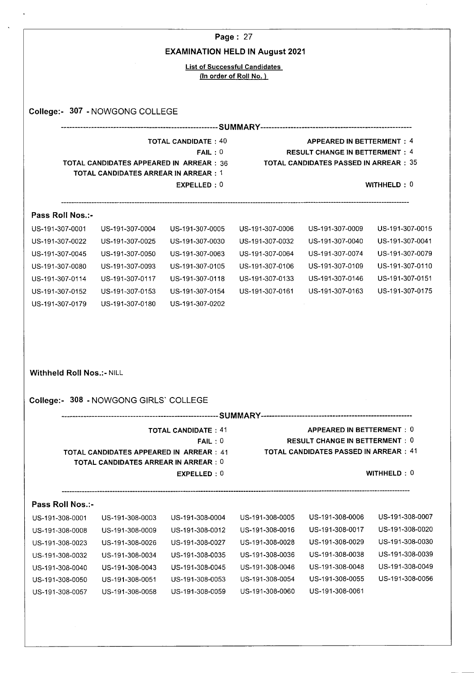|                                                                                                                                    |                                                                                                |                                        | Page: 27                           |                                                                                        |                                                                                                                |  |  |
|------------------------------------------------------------------------------------------------------------------------------------|------------------------------------------------------------------------------------------------|----------------------------------------|------------------------------------|----------------------------------------------------------------------------------------|----------------------------------------------------------------------------------------------------------------|--|--|
|                                                                                                                                    |                                                                                                | <b>EXAMINATION HELD IN August 2021</b> |                                    |                                                                                        |                                                                                                                |  |  |
|                                                                                                                                    |                                                                                                | <b>List of Successful Candidates</b>   | (In order of Roll No.)             |                                                                                        |                                                                                                                |  |  |
|                                                                                                                                    |                                                                                                |                                        |                                    |                                                                                        |                                                                                                                |  |  |
|                                                                                                                                    | College:- 307 - NOWGONG COLLEGE                                                                |                                        |                                    |                                                                                        |                                                                                                                |  |  |
|                                                                                                                                    |                                                                                                |                                        |                                    |                                                                                        |                                                                                                                |  |  |
|                                                                                                                                    |                                                                                                | <b>TOTAL CANDIDATE: 40</b>             |                                    | <b>APPEARED IN BETTERMENT: 4</b>                                                       |                                                                                                                |  |  |
|                                                                                                                                    |                                                                                                | FAIL:0                                 |                                    | <b>RESULT CHANGE IN BETTERMENT: 4</b><br><b>TOTAL CANDIDATES PASSED IN ARREAR : 35</b> |                                                                                                                |  |  |
|                                                                                                                                    | <b>TOTAL CANDIDATES APPEARED IN ARREAR: 36</b><br><b>TOTAL CANDIDATES ARREAR IN ARREAR : 1</b> |                                        |                                    |                                                                                        |                                                                                                                |  |  |
|                                                                                                                                    |                                                                                                | EXPELLED: 0                            |                                    |                                                                                        | WITHHELD : $0$                                                                                                 |  |  |
| Pass Roll Nos.:-                                                                                                                   |                                                                                                |                                        |                                    |                                                                                        |                                                                                                                |  |  |
| US-191-307-0001                                                                                                                    | US-191-307-0004                                                                                | US-191-307-0005                        | US-191-307-0006                    | US-191-307-0009                                                                        | US-191-307-0015                                                                                                |  |  |
| US-191-307-0022                                                                                                                    | US-191-307-0025                                                                                | US-191-307-0030                        | US-191-307-0032                    | US-191-307-0040                                                                        | US-191-307-0041                                                                                                |  |  |
| US-191-307-0045                                                                                                                    | US-191-307-0050                                                                                | US-191-307-0063                        | US-191-307-0064                    | US-191-307-0074                                                                        | US-191-307-0079                                                                                                |  |  |
| US-191-307-0080                                                                                                                    | US-191-307-0093                                                                                | US-191-307-0105                        | US-191-307-0106                    | US-191-307-0109                                                                        | US-191-307-0110                                                                                                |  |  |
|                                                                                                                                    | US-191-307-0117                                                                                | US-191-307-0118                        | US-191-307-0133                    | US-191-307-0146                                                                        | US-191-307-0151                                                                                                |  |  |
|                                                                                                                                    |                                                                                                | US-191-307-0154                        | US-191-307-0161                    | US-191-307-0163                                                                        | US-191-307-0175                                                                                                |  |  |
|                                                                                                                                    |                                                                                                |                                        |                                    |                                                                                        |                                                                                                                |  |  |
|                                                                                                                                    | US-191-307-0153<br>US-191-307-0180                                                             | US-191-307-0202                        |                                    |                                                                                        |                                                                                                                |  |  |
|                                                                                                                                    |                                                                                                |                                        |                                    |                                                                                        |                                                                                                                |  |  |
|                                                                                                                                    | College:- 308 - NOWGONG GIRLS' COLLEGE                                                         |                                        |                                    |                                                                                        |                                                                                                                |  |  |
|                                                                                                                                    |                                                                                                |                                        |                                    |                                                                                        |                                                                                                                |  |  |
|                                                                                                                                    |                                                                                                | <b>TOTAL CANDIDATE: 41</b><br>FAIL:0   |                                    | APPEARED IN BETTERMENT: 0<br><b>RESULT CHANGE IN BETTERMENT: 0</b>                     |                                                                                                                |  |  |
|                                                                                                                                    | TOTAL CANDIDATES APPEARED IN ARREAR : 41                                                       |                                        |                                    | TOTAL CANDIDATES PASSED IN ARREAR:41                                                   |                                                                                                                |  |  |
| US-191-307-0114<br>US-191-307-0152<br>US-191-307-0179<br><b>Withheld Roll Nos.:- NILL</b>                                          | TOTAL CANDIDATES ARREAR IN ARREAR : 0                                                          | EXPELLED: 0                            |                                    |                                                                                        | <b>WITHHELD: 0</b>                                                                                             |  |  |
|                                                                                                                                    |                                                                                                |                                        |                                    |                                                                                        |                                                                                                                |  |  |
|                                                                                                                                    |                                                                                                |                                        |                                    |                                                                                        |                                                                                                                |  |  |
|                                                                                                                                    | US-191-308-0003                                                                                | US-191-308-0004                        | US-191-308-0005                    | US-191-308-0006                                                                        |                                                                                                                |  |  |
|                                                                                                                                    | US-191-308-0009                                                                                | US-191-308-0012                        | US-191-308-0016                    | US-191-308-0017                                                                        |                                                                                                                |  |  |
|                                                                                                                                    | US-191-308-0026                                                                                | US-191-308-0027                        | US-191-308-0028                    | US-191-308-0029                                                                        |                                                                                                                |  |  |
|                                                                                                                                    | US-191-308-0034                                                                                | US-191-308-0035                        | US-191-308-0036                    | US-191-308-0038                                                                        |                                                                                                                |  |  |
| Pass Roll Nos.:-<br>US-191-308-0001<br>US-191-308-0008<br>US-191-308-0023<br>US-191-308-0032<br>US-191-308-0040<br>US-191-308-0050 | US-191-308-0043<br>US-191-308-0051                                                             | US-191-308-0045<br>US-191-308-0053     | US-191-308-0046<br>US-191-308-0054 | US-191-308-0048<br>US-191-308-0055                                                     | US-191-308-0007<br>US-191-308-0020<br>US-191-308-0030<br>US-191-308-0039<br>US-191-308-0049<br>US-191-308-0056 |  |  |

 $\ddot{\phantom{0}}$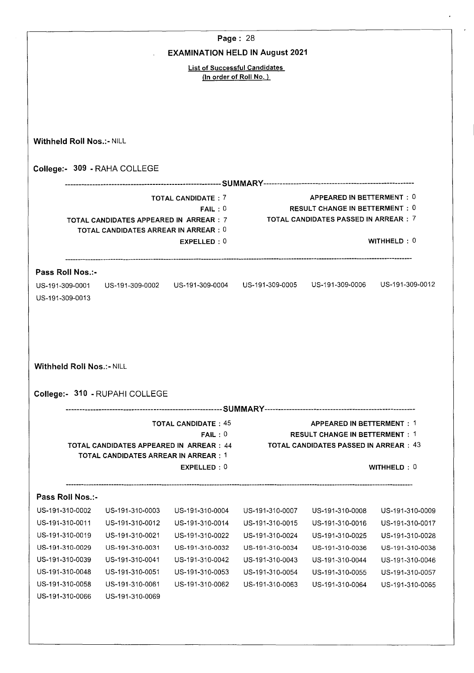|                                                                                                                                                                                                                                 |                                             |                                                                                             | Page: 28        |                                              |                                                                                                                |
|---------------------------------------------------------------------------------------------------------------------------------------------------------------------------------------------------------------------------------|---------------------------------------------|---------------------------------------------------------------------------------------------|-----------------|----------------------------------------------|----------------------------------------------------------------------------------------------------------------|
|                                                                                                                                                                                                                                 |                                             | <b>EXAMINATION HELD IN August 2021</b>                                                      |                 |                                              |                                                                                                                |
|                                                                                                                                                                                                                                 |                                             | <b>List of Successful Candidates</b><br>(In order of Roll No.)                              |                 |                                              |                                                                                                                |
|                                                                                                                                                                                                                                 |                                             |                                                                                             |                 |                                              |                                                                                                                |
|                                                                                                                                                                                                                                 |                                             |                                                                                             |                 |                                              |                                                                                                                |
|                                                                                                                                                                                                                                 |                                             |                                                                                             |                 |                                              |                                                                                                                |
| <b>Withheld Roll Nos.:- NILL</b>                                                                                                                                                                                                |                                             |                                                                                             |                 |                                              |                                                                                                                |
|                                                                                                                                                                                                                                 | College:- 309 - RAHA COLLEGE                |                                                                                             |                 |                                              |                                                                                                                |
|                                                                                                                                                                                                                                 |                                             |                                                                                             |                 |                                              |                                                                                                                |
|                                                                                                                                                                                                                                 |                                             | <b>TOTAL CANDIDATE: 7</b>                                                                   |                 | APPEARED IN BETTERMENT: 0                    |                                                                                                                |
|                                                                                                                                                                                                                                 |                                             | FAIL:0                                                                                      |                 | RESULT CHANGE IN BETTERMENT: 0               |                                                                                                                |
|                                                                                                                                                                                                                                 | TOTAL CANDIDATES APPEARED IN ARREAR : 7     |                                                                                             |                 | <b>TOTAL CANDIDATES PASSED IN ARREAR : 7</b> |                                                                                                                |
|                                                                                                                                                                                                                                 | <b>TOTAL CANDIDATES ARREAR IN ARREAR: 0</b> |                                                                                             |                 |                                              |                                                                                                                |
|                                                                                                                                                                                                                                 |                                             | EXPELLED: 0                                                                                 |                 |                                              | WITHHELD: $0$                                                                                                  |
| Pass Roll Nos.:-                                                                                                                                                                                                                |                                             |                                                                                             |                 |                                              |                                                                                                                |
|                                                                                                                                                                                                                                 |                                             | US-191-309-0002    US-191-309-0004    US-191-309-0005    US-191-309-0006    US-191-309-0012 |                 |                                              |                                                                                                                |
|                                                                                                                                                                                                                                 |                                             |                                                                                             |                 |                                              |                                                                                                                |
|                                                                                                                                                                                                                                 |                                             |                                                                                             |                 |                                              |                                                                                                                |
|                                                                                                                                                                                                                                 |                                             |                                                                                             |                 |                                              |                                                                                                                |
|                                                                                                                                                                                                                                 | College:- 310 - RUPAHI COLLEGE              |                                                                                             |                 |                                              |                                                                                                                |
|                                                                                                                                                                                                                                 |                                             | <b>TOTAL CANDIDATE: 45</b>                                                                  |                 | <b>APPEARED IN BETTERMENT: 1</b>             |                                                                                                                |
|                                                                                                                                                                                                                                 |                                             | FAIL:0                                                                                      |                 | <b>RESULT CHANGE IN BETTERMENT: 1</b>        |                                                                                                                |
|                                                                                                                                                                                                                                 | TOTAL CANDIDATES APPEARED IN ARREAR : 44    |                                                                                             |                 | <b>TOTAL CANDIDATES PASSED IN ARREAR: 43</b> |                                                                                                                |
|                                                                                                                                                                                                                                 | TOTAL CANDIDATES ARREAR IN ARREAR : 1       |                                                                                             |                 |                                              |                                                                                                                |
|                                                                                                                                                                                                                                 |                                             | EXPELLED: 0                                                                                 |                 |                                              | WITHHELD: 0                                                                                                    |
|                                                                                                                                                                                                                                 |                                             |                                                                                             |                 |                                              |                                                                                                                |
|                                                                                                                                                                                                                                 | US-191-310-0003                             | US-191-310-0004                                                                             | US-191-310-0007 | US-191-310-0008                              | US-191-310-0009                                                                                                |
|                                                                                                                                                                                                                                 | US-191-310-0012                             | US-191-310-0014                                                                             | US-191-310-0015 | US-191-310-0016                              |                                                                                                                |
|                                                                                                                                                                                                                                 | US-191-310-0021                             | US-191-310-0022                                                                             | US-191-310-0024 | US-191-310-0025                              |                                                                                                                |
|                                                                                                                                                                                                                                 | US-191-310-0031                             | US-191-310-0032                                                                             | US-191-310-0034 | US-191-310-0036                              |                                                                                                                |
|                                                                                                                                                                                                                                 | US-191-310-0041                             | US-191-310-0042                                                                             | US-191-310-0043 | US-191-310-0044                              |                                                                                                                |
|                                                                                                                                                                                                                                 | US-191-310-0051                             | US-191-310-0053                                                                             | US-191-310-0054 | US-191-310-0055                              |                                                                                                                |
| US-191-309-0001<br>US-191-309-0013<br><b>Withheld Roll Nos.:- NILL</b><br>Pass Roll Nos.:-<br>US-191-310-0002<br>US-191-310-0011<br>US-191-310-0019<br>US-191-310-0029<br>US-191-310-0039<br>US-191-310-0048<br>US-191-310-0058 | US-191-310-0061                             | US-191-310-0062                                                                             | US-191-310-0063 | US-191-310-0064                              | US-191-310-0017<br>US-191-310-0028<br>US-191-310-0038<br>US-191-310-0046<br>US-191-310-0057<br>US-191-310-0065 |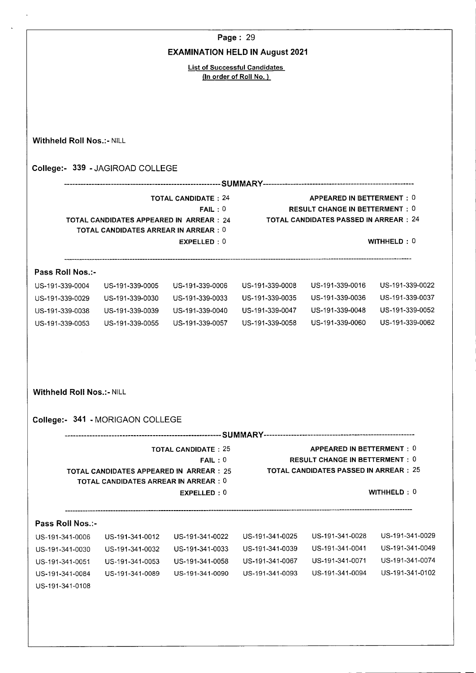|                                  |                                                    |                                        | Page: 29                                                       |                                                                                 |                 |  |  |
|----------------------------------|----------------------------------------------------|----------------------------------------|----------------------------------------------------------------|---------------------------------------------------------------------------------|-----------------|--|--|
|                                  |                                                    | <b>EXAMINATION HELD IN August 2021</b> |                                                                |                                                                                 |                 |  |  |
|                                  |                                                    |                                        | <b>List of Successful Candidates</b><br>(In order of Roll No.) |                                                                                 |                 |  |  |
|                                  |                                                    |                                        |                                                                |                                                                                 |                 |  |  |
|                                  |                                                    |                                        |                                                                |                                                                                 |                 |  |  |
| <b>Withheld Roll Nos.:- NILL</b> |                                                    |                                        |                                                                |                                                                                 |                 |  |  |
|                                  | College:- 339 - JAGIROAD COLLEGE                   |                                        |                                                                |                                                                                 |                 |  |  |
|                                  |                                                    |                                        |                                                                |                                                                                 |                 |  |  |
|                                  |                                                    | <b>TOTAL CANDIDATE: 24</b>             |                                                                | APPEARED IN BETTERMENT: 0                                                       |                 |  |  |
|                                  | FAIL:0<br>TOTAL CANDIDATES APPEARED IN ARREAR : 24 |                                        |                                                                | <b>RESULT CHANGE IN BETTERMENT: 0</b><br>TOTAL CANDIDATES PASSED IN ARREAR : 24 |                 |  |  |
|                                  | <b>TOTAL CANDIDATES ARREAR IN ARREAR: 0</b>        |                                        |                                                                |                                                                                 |                 |  |  |
|                                  |                                                    | EXPELLED: 0                            |                                                                |                                                                                 | WITHHELD: 0     |  |  |
| Pass Roll Nos.:-                 |                                                    |                                        |                                                                |                                                                                 |                 |  |  |
| US-191-339-0004                  | US-191-339-0005                                    | US-191-339-0006                        | US-191-339-0008                                                | US-191-339-0016                                                                 | US-191-339-0022 |  |  |
| US-191-339-0029                  | US-191-339-0030                                    | US-191-339-0033                        | US-191-339-0035                                                | US-191-339-0036                                                                 | US-191-339-0037 |  |  |
| US-191-339-0038                  | US-191-339-0039                                    | US-191-339-0040                        | US-191-339-0047                                                | US-191-339-0048                                                                 | US-191-339-0052 |  |  |
| US-191-339-0053                  | US-191-339-0055                                    | US-191-339-0057                        | US-191-339-0058                                                | US-191-339-0060                                                                 | US-191-339-0062 |  |  |
|                                  |                                                    |                                        |                                                                |                                                                                 |                 |  |  |
|                                  |                                                    |                                        |                                                                |                                                                                 |                 |  |  |
| Withheld Roll Nos.:- NILL        |                                                    |                                        |                                                                |                                                                                 |                 |  |  |
|                                  |                                                    |                                        |                                                                |                                                                                 |                 |  |  |
|                                  | College:- 341 - MORIGAON COLLEGE                   |                                        |                                                                |                                                                                 |                 |  |  |
|                                  |                                                    | <b>TOTAL CANDIDATE: 25</b>             |                                                                | APPEARED IN BETTERMENT: 0                                                       |                 |  |  |
|                                  | TOTAL CANDIDATES APPEARED IN ARREAR : 25           | FAIL:0                                 |                                                                | <b>RESULT CHANGE IN BETTERMENT: 0</b><br>TOTAL CANDIDATES PASSED IN ARREAR:25   |                 |  |  |
|                                  | <b>TOTAL CANDIDATES ARREAR IN ARREAR : 0</b>       |                                        |                                                                |                                                                                 |                 |  |  |
|                                  |                                                    | EXPELLED: 0                            |                                                                |                                                                                 | WITHHELD: 0     |  |  |
| Pass Roll Nos.:-                 |                                                    |                                        |                                                                |                                                                                 |                 |  |  |
| US-191-341-0006                  | US-191-341-0012                                    | US-191-341-0022                        | US-191-341-0025                                                | US-191-341-0028                                                                 | US-191-341-0029 |  |  |
| US-191-341-0030                  | US-191-341-0032                                    | US-191-341-0033                        | US-191-341-0039                                                | US-191-341-0041                                                                 | US-191-341-0049 |  |  |
|                                  | US-191-341-0053                                    | US-191-341-0058                        | US-191-341-0067                                                | US-191-341-0071                                                                 | US-191-341-0074 |  |  |
| US-191-341-0051                  |                                                    |                                        | US-191-341-0093                                                | US-191-341-0094                                                                 | US-191-341-0102 |  |  |
| US-191-341-0084                  | US-191-341-0089                                    | US-191-341-0090                        |                                                                |                                                                                 |                 |  |  |

l.

 $\ddot{\phantom{1}}$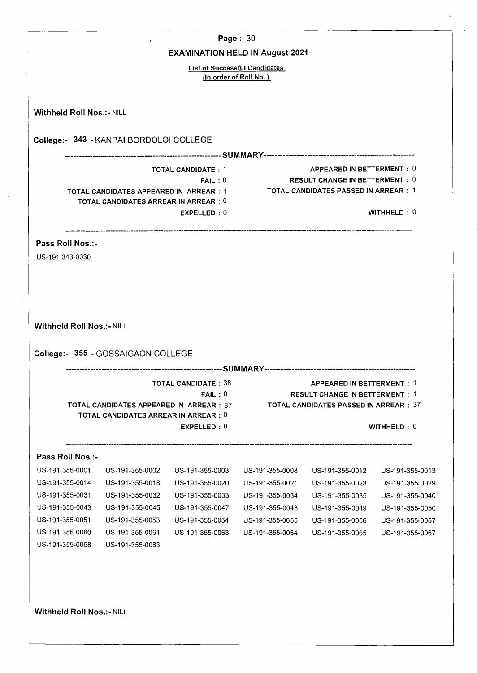| College:- 355 - GOSSAIGAON COLLEGE | <b>EXAMINATION HELD IN August 2021</b><br>College:- 343 - KANPAI BORDOLOI COLLEGE<br><b>TOTAL CANDIDATE: 1</b><br>FAIL:0<br>TOTAL CANDIDATES APPEARED IN ARREAR : 1<br><b>TOTAL CANDIDATES ARREAR IN ARREAR : 0</b><br>EXPELLED: 0 | <b>List of Successful Candidates</b><br>(In order of Roll No.) | APPEARED IN BETTERMENT: 0<br><b>RESULT CHANGE IN BETTERMENT: 0</b><br>TOTAL CANDIDATES PASSED IN ARREAR : 1 | WITHHELD: $0$   |
|------------------------------------|------------------------------------------------------------------------------------------------------------------------------------------------------------------------------------------------------------------------------------|----------------------------------------------------------------|-------------------------------------------------------------------------------------------------------------|-----------------|
|                                    |                                                                                                                                                                                                                                    |                                                                |                                                                                                             |                 |
|                                    |                                                                                                                                                                                                                                    |                                                                |                                                                                                             |                 |
|                                    |                                                                                                                                                                                                                                    |                                                                |                                                                                                             |                 |
|                                    |                                                                                                                                                                                                                                    |                                                                |                                                                                                             |                 |
|                                    |                                                                                                                                                                                                                                    |                                                                |                                                                                                             |                 |
|                                    |                                                                                                                                                                                                                                    |                                                                |                                                                                                             |                 |
|                                    |                                                                                                                                                                                                                                    |                                                                |                                                                                                             |                 |
|                                    |                                                                                                                                                                                                                                    |                                                                |                                                                                                             |                 |
|                                    |                                                                                                                                                                                                                                    |                                                                |                                                                                                             |                 |
|                                    |                                                                                                                                                                                                                                    |                                                                |                                                                                                             |                 |
|                                    |                                                                                                                                                                                                                                    |                                                                |                                                                                                             |                 |
|                                    |                                                                                                                                                                                                                                    |                                                                |                                                                                                             |                 |
|                                    |                                                                                                                                                                                                                                    |                                                                |                                                                                                             |                 |
|                                    |                                                                                                                                                                                                                                    |                                                                |                                                                                                             |                 |
|                                    |                                                                                                                                                                                                                                    |                                                                |                                                                                                             |                 |
|                                    |                                                                                                                                                                                                                                    |                                                                |                                                                                                             |                 |
|                                    |                                                                                                                                                                                                                                    |                                                                |                                                                                                             |                 |
|                                    |                                                                                                                                                                                                                                    |                                                                |                                                                                                             |                 |
|                                    |                                                                                                                                                                                                                                    |                                                                |                                                                                                             |                 |
|                                    |                                                                                                                                                                                                                                    |                                                                |                                                                                                             |                 |
|                                    | <b>TOTAL CANDIDATE: 38</b>                                                                                                                                                                                                         |                                                                | <b>APPEARED IN BETTERMENT: 1</b>                                                                            |                 |
|                                    | FAIL:0                                                                                                                                                                                                                             |                                                                | <b>RESULT CHANGE IN BETTERMENT: 1</b>                                                                       |                 |
|                                    | <b>TOTAL CANDIDATES APPEARED IN ARREAR: 37</b>                                                                                                                                                                                     |                                                                | <b>TOTAL CANDIDATES PASSED IN ARREAR : 37</b>                                                               |                 |
|                                    | <b>TOTAL CANDIDATES ARREAR IN ARREAR : 0</b>                                                                                                                                                                                       |                                                                |                                                                                                             |                 |
|                                    | EXPELLED: 0                                                                                                                                                                                                                        |                                                                |                                                                                                             | WITHHELD: 0     |
|                                    |                                                                                                                                                                                                                                    |                                                                |                                                                                                             |                 |
| US-191-355-0002                    | US-191-355-0003                                                                                                                                                                                                                    | US-191-355-0008                                                | $-$ US-191-355-0012                                                                                         | US-191-355-0013 |
| US-191-355-0018                    | US-191-355-0020                                                                                                                                                                                                                    | US-191-355-0021                                                | US-191-355-0023                                                                                             | US-191-355-0029 |
| US-191-355-0032                    | US-191-355-0033                                                                                                                                                                                                                    | US-191-355-0034                                                | US-191-355-0035                                                                                             | US-191-355-0040 |
| US-191-355-0045                    | US-191-355-0047                                                                                                                                                                                                                    | US-191-355-0048                                                | US-191-355-0049                                                                                             | US-191-355-0050 |
| US-191-355-0053                    | US-191-355-0054                                                                                                                                                                                                                    | US-191-355-0055                                                | US-191-355-0056                                                                                             | US-191-355-0057 |
| US-191-355-0061                    | US-191-355-0063                                                                                                                                                                                                                    | US-191-355-0064                                                | US-191-355-0065                                                                                             | US-191-355-0067 |
| US-191-355-0083                    |                                                                                                                                                                                                                                    |                                                                |                                                                                                             |                 |
|                                    |                                                                                                                                                                                                                                    |                                                                |                                                                                                             |                 |
|                                    |                                                                                                                                                                                                                                    |                                                                |                                                                                                             |                 |
|                                    |                                                                                                                                                                                                                                    |                                                                |                                                                                                             |                 |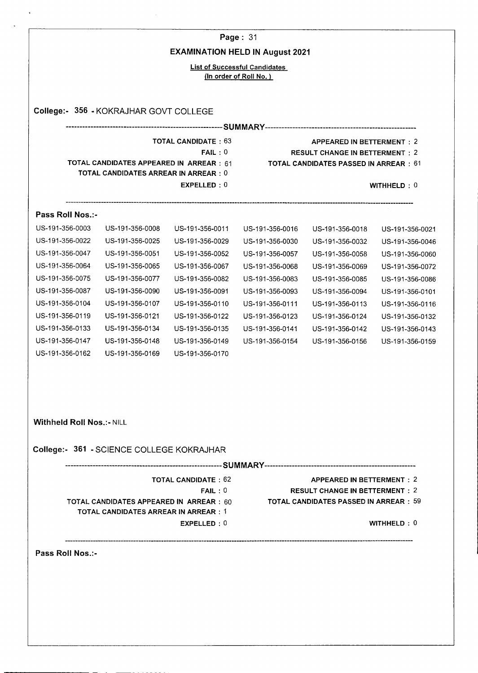|                           |                                              |                                        | Page: 31                                      |                                               |                 |  |  |
|---------------------------|----------------------------------------------|----------------------------------------|-----------------------------------------------|-----------------------------------------------|-----------------|--|--|
|                           |                                              | <b>EXAMINATION HELD IN August 2021</b> |                                               |                                               |                 |  |  |
|                           |                                              |                                        | <b>List of Successful Candidates</b>          |                                               |                 |  |  |
|                           |                                              |                                        | (In order of Roll No.)                        |                                               |                 |  |  |
|                           |                                              |                                        |                                               |                                               |                 |  |  |
|                           | College:- 356 - KOKRAJHAR GOVT COLLEGE       |                                        |                                               |                                               |                 |  |  |
|                           |                                              |                                        |                                               |                                               |                 |  |  |
|                           |                                              | <b>TOTAL CANDIDATE: 63</b>             |                                               | <b>APPEARED IN BETTERMENT: 2</b>              |                 |  |  |
|                           |                                              | FAIL:0                                 |                                               | <b>RESULT CHANGE IN BETTERMENT: 2</b>         |                 |  |  |
|                           | TOTAL CANDIDATES APPEARED IN ARREAR : 61     |                                        | <b>TOTAL CANDIDATES PASSED IN ARREAR : 61</b> |                                               |                 |  |  |
|                           | <b>TOTAL CANDIDATES ARREAR IN ARREAR : 0</b> |                                        |                                               |                                               |                 |  |  |
|                           |                                              | EXPELLED: 0                            |                                               |                                               | WITHHELD: 0     |  |  |
| Pass Roll Nos.:-          |                                              |                                        |                                               |                                               |                 |  |  |
| US-191-356-0003           | US-191-356-0008                              | US-191-356-0011                        | US-191-356-0016                               | US-191-356-0018                               | US-191-356-0021 |  |  |
| US-191-356-0022           | US-191-356-0025                              | US-191-356-0029                        | US-191-356-0030                               | US-191-356-0032                               | US-191-356-0046 |  |  |
| US-191-356-0047           | US-191-356-0051                              | US-191-356-0052                        | US-191-356-0057                               | US-191-356-0058                               | US-191-356-0060 |  |  |
| US-191-356-0064           | US-191-356-0065                              | US-191-356-0067                        | US-191-356-0068                               | US-191-356-0069                               | US-191-356-0072 |  |  |
| US-191-356-0075           | US-191-356-0077                              | US-191-356-0082                        | US-191-356-0083                               | US-191-356-0085                               | US-191-356-0086 |  |  |
| US-191-356-0087           | US-191-356-0090                              | US-191-356-0091                        | US-191-356-0093                               | US-191-356-0094                               | US-191-356-0101 |  |  |
| US-191-356-0104           | US-191-356-0107                              | US-191-356-0110                        | US-191-356-0111                               | US-191-356-0113                               | US-191-356-0116 |  |  |
| US-191-356-0119           | US-191-356-0121                              | US-191-356-0122                        | US-191-356-0123                               | US-191-356-0124                               | US-191-356-0132 |  |  |
| US-191-356-0133           | US-191-356-0134                              | US-191-356-0135                        | US-191-356-0141                               | US-191-356-0142                               | US-191-356-0143 |  |  |
| US-191-356-0147           | US-191-356-0148                              | US-191-356-0149                        | US-191-356-0154                               | US-191-356-0156                               | US-191-356-0159 |  |  |
| US-191-356-0162           | US-191-356-0169                              | US-191-356-0170                        |                                               |                                               |                 |  |  |
|                           |                                              |                                        |                                               |                                               |                 |  |  |
|                           |                                              |                                        |                                               |                                               |                 |  |  |
|                           |                                              |                                        |                                               |                                               |                 |  |  |
| Withheld Roll Nos.:- NILL |                                              |                                        |                                               |                                               |                 |  |  |
|                           | College:- 361 - SCIENCE COLLEGE KOKRAJHAR    |                                        |                                               |                                               |                 |  |  |
|                           |                                              |                                        |                                               |                                               |                 |  |  |
|                           |                                              | <b>TOTAL CANDIDATE: 62</b>             |                                               | <b>APPEARED IN BETTERMENT: 2</b>              |                 |  |  |
|                           |                                              | FAIL:0                                 |                                               | <b>RESULT CHANGE IN BETTERMENT: 2</b>         |                 |  |  |
|                           | TOTAL CANDIDATES APPEARED IN ARREAR : 60     |                                        |                                               | <b>TOTAL CANDIDATES PASSED IN ARREAR : 59</b> |                 |  |  |
|                           | TOTAL CANDIDATES ARREAR IN ARREAR : 1        | EXPELLED: 0                            |                                               |                                               | WITHHELD: 0     |  |  |

----------------------------------

**Pass Roll Nos.:**-

------------------------------------

 $\ddot{\phantom{a}}$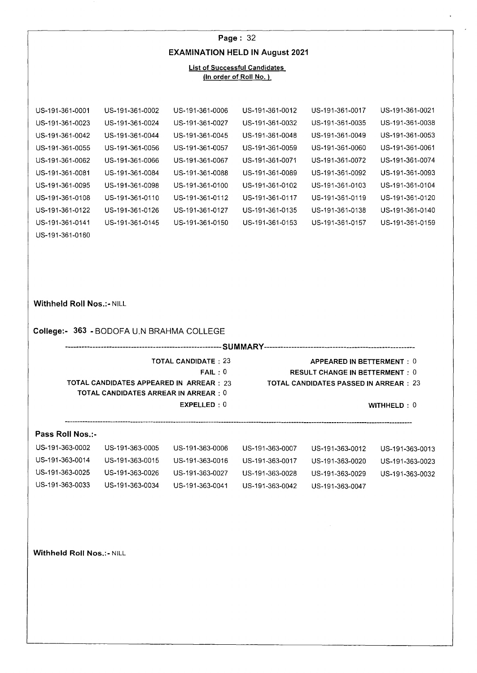|                                                                          |                                                                                   |                                              | Page: $32$                                                     |                                                                                                                     |                                    |
|--------------------------------------------------------------------------|-----------------------------------------------------------------------------------|----------------------------------------------|----------------------------------------------------------------|---------------------------------------------------------------------------------------------------------------------|------------------------------------|
|                                                                          |                                                                                   |                                              | <b>EXAMINATION HELD IN August 2021</b>                         |                                                                                                                     |                                    |
|                                                                          |                                                                                   |                                              | <b>List of Successful Candidates</b><br>(In order of Roll No.) |                                                                                                                     |                                    |
|                                                                          |                                                                                   |                                              |                                                                |                                                                                                                     |                                    |
| US-191-361-0001                                                          | US-191-361-0002                                                                   | US-191-361-0006                              | US-191-361-0012                                                | US-191-361-0017                                                                                                     | US-191-361-0021                    |
| US-191-361-0023                                                          | US-191-361-0024                                                                   | US-191-361-0027                              | US-191-361-0032                                                | US-191-361-0035                                                                                                     | US-191-361-0038                    |
| US-191-361-0042                                                          | US-191-361-0044                                                                   | US-191-361-0045                              | US-191-361-0048                                                | US-191-361-0049                                                                                                     | US-191-361-0053                    |
| US-191-361-0055                                                          | US-191-361-0056                                                                   | US-191-361-0057                              | US-191-361-0059                                                | US-191-361-0060                                                                                                     | US-191-361-0061                    |
| US-191-361-0062                                                          | US-191-361-0066                                                                   | US-191-361-0067                              | US-191-361-0071                                                | US-191-361-0072                                                                                                     | US-191-361-0074                    |
| US-191-361-0081                                                          | US-191-361-0084                                                                   | US-191-361-0088                              | US-191-361-0089                                                | US-191-361-0092                                                                                                     | US-191-361-0093                    |
| US-191-361-0095                                                          | US-191-361-0098                                                                   | US-191-361-0100                              | US-191-361-0102                                                | US-191-361-0103                                                                                                     | US-191-361-0104                    |
| US-191-361-0108                                                          | US-191-361-0110                                                                   | US-191-361-0112                              | US-191-361-0117                                                | US-191-361-0119                                                                                                     | US-191-361-0120                    |
| US-191-361-0122                                                          | US-191-361-0126                                                                   | US-191-361-0127                              | US-191-361-0135                                                | US-191-361-0138                                                                                                     | US-191-361-0140                    |
| US-191-361-0141                                                          | US-191-361-0145                                                                   | US-191-361-0150                              | US-191-361-0153                                                | US-191-361-0157                                                                                                     | US-191-361-0159                    |
| US-191-361-0160                                                          |                                                                                   |                                              |                                                                |                                                                                                                     |                                    |
|                                                                          | College:- 363 - BODOFA U.N BRAHMA COLLEGE                                         |                                              |                                                                |                                                                                                                     |                                    |
|                                                                          |                                                                                   |                                              |                                                                |                                                                                                                     |                                    |
|                                                                          | TOTAL CANDIDATES APPEARED IN ARREAR : 23<br>TOTAL CANDIDATES ARREAR IN ARREAR : 0 | TOTAL CANDIDATE : 23<br>FAIL:0<br>EXPELLED:0 |                                                                | APPEARED IN BETTERMENT: 0<br><b>RESULT CHANGE IN BETTERMENT: 0</b><br><b>TOTAL CANDIDATES PASSED IN ARREAR : 23</b> | WITHHELD: 0                        |
|                                                                          |                                                                                   |                                              |                                                                |                                                                                                                     |                                    |
| Pass Roll Nos.:-                                                         |                                                                                   |                                              |                                                                |                                                                                                                     |                                    |
|                                                                          | US-191-363-0005                                                                   | US-191-363-0006                              | US-191-363-0007                                                | US-191-363-0012                                                                                                     | US-191-363-0013                    |
|                                                                          |                                                                                   |                                              |                                                                | US-191-363-0020                                                                                                     |                                    |
|                                                                          | US-191-363-0015                                                                   | US-191-363-0016                              | US-191-363-0017                                                |                                                                                                                     |                                    |
|                                                                          | US-191-363-0026                                                                   | US-191-363-0027                              | US-191-363-0028                                                | US-191-363-0029                                                                                                     | US-191-363-0023<br>US-191-363-0032 |
|                                                                          | US-191-363-0034                                                                   | US-191-363-0041                              | US-191-363-0042                                                | US-191-363-0047                                                                                                     |                                    |
| US-191-363-0002<br>US-191-363-0014<br>US-191-363-0025<br>US-191-363-0033 |                                                                                   |                                              |                                                                |                                                                                                                     |                                    |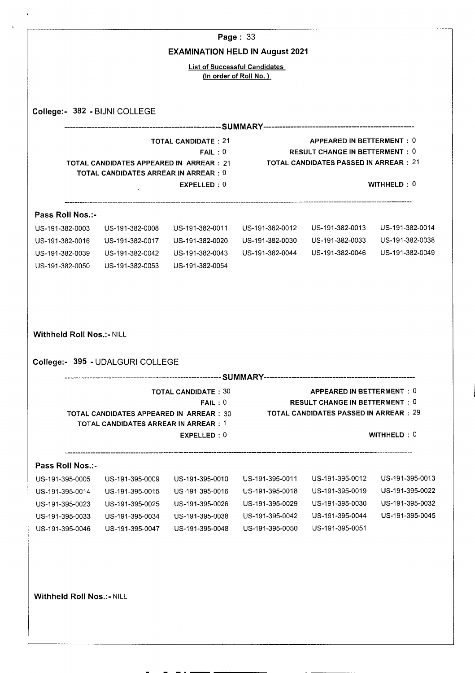| College:- 382 - BIJNI COLLEGE<br>Pass Roll Nos.:-<br>US-191-382-0003 | <b>TOTAL CANDIDATES ARREAR IN ARREAR : 0</b>       | <b>EXAMINATION HELD IN August 2021</b><br><b>TOTAL CANDIDATE: 21</b><br>FAIL:0<br>TOTAL CANDIDATES APPEARED IN ARREAR : 21 | <b>List of Successful Candidates</b><br>(In order of Roll No.)                               | APPEARED IN BETTERMENT: 0                                                              |                 |  |
|----------------------------------------------------------------------|----------------------------------------------------|----------------------------------------------------------------------------------------------------------------------------|----------------------------------------------------------------------------------------------|----------------------------------------------------------------------------------------|-----------------|--|
|                                                                      |                                                    |                                                                                                                            |                                                                                              |                                                                                        |                 |  |
|                                                                      |                                                    |                                                                                                                            |                                                                                              |                                                                                        |                 |  |
|                                                                      |                                                    |                                                                                                                            |                                                                                              |                                                                                        |                 |  |
|                                                                      |                                                    |                                                                                                                            |                                                                                              |                                                                                        |                 |  |
|                                                                      |                                                    |                                                                                                                            |                                                                                              |                                                                                        |                 |  |
|                                                                      |                                                    |                                                                                                                            | <b>RESULT CHANGE IN BETTERMENT: 0</b><br>TOTAL CANDIDATES PASSED IN ARREAR:21<br>WITHHELD: 0 |                                                                                        |                 |  |
|                                                                      |                                                    | EXPELLED: 0                                                                                                                |                                                                                              |                                                                                        |                 |  |
|                                                                      |                                                    |                                                                                                                            |                                                                                              |                                                                                        |                 |  |
|                                                                      | US-191-382-0008                                    | US-191-382-0011                                                                                                            | US-191-382-0012                                                                              | US-191-382-0013                                                                        | US-191-382-0014 |  |
| US-191-382-0016                                                      | US-191-382-0017                                    | US-191-382-0020                                                                                                            | US-191-382-0030                                                                              | US-191-382-0033                                                                        | US-191-382-0038 |  |
| US-191-382-0039                                                      | US-191-382-0042                                    | US-191-382-0043                                                                                                            | US-191-382-0044                                                                              | US-191-382-0046                                                                        | US-191-382-0049 |  |
| US-191-382-0050                                                      | US-191-382-0053                                    | US-191-382-0054                                                                                                            |                                                                                              |                                                                                        |                 |  |
|                                                                      |                                                    | <b>TOTAL CANDIDATE: 30</b>                                                                                                 |                                                                                              | <b>APPEARED IN BETTERMENT: 0</b>                                                       |                 |  |
|                                                                      | FAIL:0<br>TOTAL CANDIDATES APPEARED IN ARREAR : 30 |                                                                                                                            |                                                                                              | <b>RESULT CHANGE IN BETTERMENT: 0</b><br><b>TOTAL CANDIDATES PASSED IN ARREAR : 29</b> |                 |  |
|                                                                      |                                                    | TOTAL CANDIDATES ARREAR IN ARREAR : 1<br>EXPELLED: 0                                                                       |                                                                                              |                                                                                        | WITHHELD: 0     |  |
|                                                                      |                                                    |                                                                                                                            |                                                                                              |                                                                                        |                 |  |
|                                                                      |                                                    |                                                                                                                            |                                                                                              | US-191-395-0012                                                                        | US-191-395-0013 |  |
| US-191-395-0014                                                      | US-191-395-0015                                    | US-191-395-0016                                                                                                            | US-191-395-0018                                                                              | US-191-395-0019                                                                        | US-191-395-0022 |  |
| US-191-395-0023                                                      | US-191-395-0025                                    | US-191-395-0026                                                                                                            | US-191-395-0029                                                                              | US-191-395-0030                                                                        | US-191-395-0032 |  |
| US-191-395-0033                                                      | US-191-395-0034                                    | US-191-395-0038                                                                                                            | US-191-395-0042                                                                              | US-191-395-0044                                                                        | US-191-395-0045 |  |
| US-191-395-0046                                                      | US-191-395-0047                                    | US-191-395-0048                                                                                                            | US-191-395-0050                                                                              | US-191-395-0051                                                                        |                 |  |
| Pass Roll Nos.:-<br>US-191-395-0005                                  | US-191-395-0009                                    | US-191-395-0010                                                                                                            | US-191-395-0011                                                                              |                                                                                        |                 |  |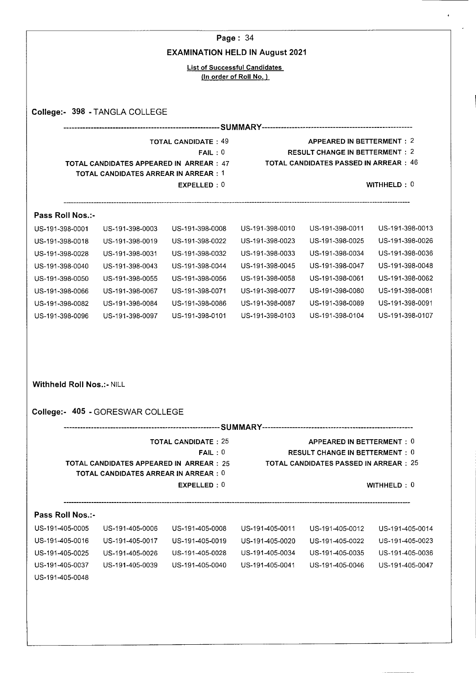|                                                                          |                                                                                                |                                      | Page: 34                                                       |                                                                                      |                                                                          |  |  |
|--------------------------------------------------------------------------|------------------------------------------------------------------------------------------------|--------------------------------------|----------------------------------------------------------------|--------------------------------------------------------------------------------------|--------------------------------------------------------------------------|--|--|
|                                                                          | <b>EXAMINATION HELD IN August 2021</b>                                                         |                                      |                                                                |                                                                                      |                                                                          |  |  |
|                                                                          |                                                                                                |                                      | <b>List of Successful Candidates</b><br>(In order of Roll No.) |                                                                                      |                                                                          |  |  |
|                                                                          |                                                                                                |                                      |                                                                |                                                                                      |                                                                          |  |  |
|                                                                          | College:- 398 - TANGLA COLLEGE                                                                 |                                      |                                                                |                                                                                      |                                                                          |  |  |
|                                                                          |                                                                                                |                                      |                                                                |                                                                                      |                                                                          |  |  |
|                                                                          |                                                                                                | <b>TOTAL CANDIDATE: 49</b><br>FAIL:0 |                                                                | <b>APPEARED IN BETTERMENT: 2</b><br><b>RESULT CHANGE IN BETTERMENT: 2</b>            |                                                                          |  |  |
|                                                                          | TOTAL CANDIDATES APPEARED IN ARREAR : 47                                                       |                                      |                                                                | <b>TOTAL CANDIDATES PASSED IN ARREAR: 46</b>                                         |                                                                          |  |  |
|                                                                          | <b>TOTAL CANDIDATES ARREAR IN ARREAR : 1</b>                                                   |                                      |                                                                |                                                                                      |                                                                          |  |  |
|                                                                          |                                                                                                | EXPELLED: 0                          |                                                                |                                                                                      | WITHHELD: $0$                                                            |  |  |
| Pass Roll Nos.:-                                                         |                                                                                                |                                      |                                                                |                                                                                      |                                                                          |  |  |
| US-191-398-0001                                                          | US-191-398-0003                                                                                | US-191-398-0008                      | US-191-398-0010                                                | US-191-398-0011                                                                      | US-191-398-0013                                                          |  |  |
| US-191-398-0018                                                          | US-191-398-0019                                                                                | US-191-398-0022                      | US-191-398-0023                                                | US-191-398-0025                                                                      | US-191-398-0026                                                          |  |  |
| US-191-398-0028                                                          | US-191-398-0031                                                                                | US-191-398-0032                      | US-191-398-0033                                                | US-191-398-0034                                                                      | US-191-398-0036                                                          |  |  |
| US-191-398-0040                                                          | US-191-398-0043                                                                                | US-191-398-0044                      | US-191-398-0045                                                | US-191-398-0047                                                                      | US-191-398-0048                                                          |  |  |
| US-191-398-0050                                                          | US-191-398-0055                                                                                | US-191-398-0056                      | US-191-398-0058                                                | US-191-398-0061                                                                      | US-191-398-0062                                                          |  |  |
| US-191-398-0066                                                          | US-191-398-0067                                                                                | US-191-398-0071                      | US-191-398-0077                                                | US-191-398-0080                                                                      | US-191-398-0081                                                          |  |  |
| US-191-398-0082                                                          | US-191-398-0084                                                                                | US-191-398-0086                      | US-191-398-0087                                                | US-191-398-0089                                                                      | US-191-398-0091                                                          |  |  |
| US-191-398-0096                                                          | US-191-398-0097                                                                                | US-191-398-0101                      | US-191-398-0103                                                | US-191-398-0104                                                                      | US-191-398-0107                                                          |  |  |
| <b>Withheld Roll Nos.:- NILL</b>                                         |                                                                                                |                                      |                                                                |                                                                                      |                                                                          |  |  |
|                                                                          | College:- 405 - GORESWAR COLLEGE                                                               |                                      |                                                                |                                                                                      |                                                                          |  |  |
|                                                                          |                                                                                                | <b>TOTAL CANDIDATE: 25</b>           |                                                                | APPEARED IN BETTERMENT: 0                                                            |                                                                          |  |  |
|                                                                          | <b>TOTAL CANDIDATES APPEARED IN ARREAR: 25</b><br><b>TOTAL CANDIDATES ARREAR IN ARREAR : 0</b> | FAIL:0                               |                                                                | <b>RESULT CHANGE IN BETTERMENT: 0</b><br><b>TOTAL CANDIDATES PASSED IN ARREAR:25</b> |                                                                          |  |  |
|                                                                          |                                                                                                | EXPELLED: 0                          |                                                                |                                                                                      | WITHHELD: 0                                                              |  |  |
| Pass Roll Nos.:-                                                         |                                                                                                |                                      |                                                                |                                                                                      |                                                                          |  |  |
|                                                                          | US-191-405-0006                                                                                | US-191-405-0008                      | US-191-405-0011                                                | US-191-405-0012                                                                      |                                                                          |  |  |
|                                                                          | US-191-405-0017                                                                                | US-191-405-0019                      | US-191-405-0020                                                | US-191-405-0022                                                                      |                                                                          |  |  |
|                                                                          | US-191-405-0026                                                                                | US-191-405-0028                      | US-191-405-0034                                                | US-191-405-0035                                                                      |                                                                          |  |  |
| US-191-405-0005<br>US-191-405-0016<br>US-191-405-0025<br>US-191-405-0037 | US-191-405-0039                                                                                | US-191-405-0040                      | US-191-405-0041                                                | US-191-405-0046                                                                      | US-191-405-0014<br>US-191-405-0023<br>US-191-405-0036<br>US-191-405-0047 |  |  |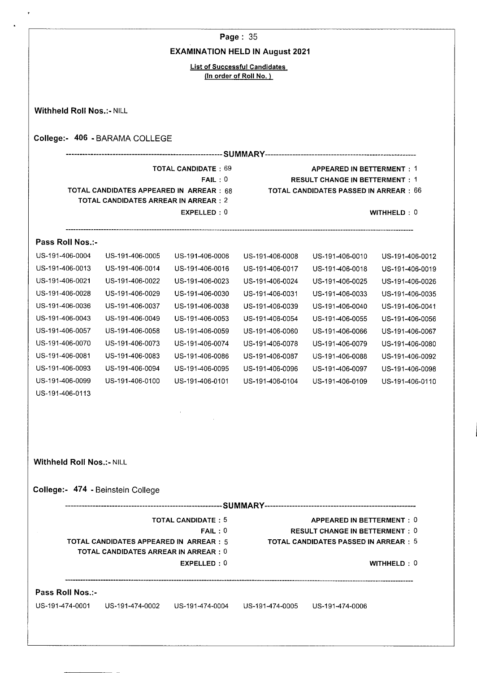**Page:** 35

# **EXAMINATION HELD IN August 2021**

List of Successful Candidates (In order of Roll No.)

|                 |                                                                                                                   |                 |                                                     |                                                                                               | College:- 406 - BARAMA COLLEGE   |
|-----------------|-------------------------------------------------------------------------------------------------------------------|-----------------|-----------------------------------------------------|-----------------------------------------------------------------------------------------------|----------------------------------|
|                 | <b>APPEARED IN BETTERMENT: 1</b>                                                                                  |                 |                                                     |                                                                                               |                                  |
| WITHHELD: 0     | <b>RESULT CHANGE IN BETTERMENT: 1</b><br><b>TOTAL CANDIDATES PASSED IN ARREAR : 66</b>                            |                 | <b>TOTAL CANDIDATE: 69</b><br>FAIL:0<br>EXPELLED: 0 | TOTAL CANDIDATES APPEARED IN ARREAR : 68<br><b>TOTAL CANDIDATES ARREAR IN ARREAR: 2</b>       |                                  |
|                 |                                                                                                                   |                 |                                                     |                                                                                               | Pass Roll Nos.:-                 |
| US-191-406-0012 | US-191-406-0010                                                                                                   | US-191-406-0008 | US-191-406-0006                                     | US-191-406-0005                                                                               | US-191-406-0004                  |
| US-191-406-0019 | US-191-406-0018                                                                                                   | US-191-406-0017 | US-191-406-0016                                     | US-191-406-0014                                                                               | US-191-406-0013                  |
| US-191-406-0026 | US-191-406-0025                                                                                                   | US-191-406-0024 | US-191-406-0023                                     | US-191-406-0022                                                                               | US-191-406-0021                  |
| US-191-406-0035 | US-191-406-0033                                                                                                   | US-191-406-0031 | US-191-406-0030                                     | US-191-406-0029                                                                               | US-191-406-0028                  |
| US-191-406-0041 | US-191-406-0040                                                                                                   | US-191-406-0039 | US-191-406-0038                                     | US-191-406-0037                                                                               | US-191-406-0036                  |
| US-191-406-0056 | US-191-406-0055                                                                                                   | US-191-406-0054 | US-191-406-0053                                     | US-191-406-0049                                                                               | US-191-406-0043                  |
| US-191-406-0067 | US-191-406-0066                                                                                                   | US-191-406-0060 | US-191-406-0059                                     | US-191-406-0058                                                                               | US-191-406-0057                  |
| US-191-406-0080 | US-191-406-0079                                                                                                   | US-191-406-0078 | US-191-406-0074                                     | US-191-406-0073                                                                               | US-191-406-0070                  |
| US-191-406-0092 | US-191-406-0088                                                                                                   | US-191-406-0087 | US-191-406-0086                                     | US-191-406-0083                                                                               | US-191-406-0081                  |
| US-191-406-0098 | US-191-406-0097                                                                                                   | US-191-406-0096 | US-191-406-0095                                     | US-191-406-0094                                                                               | US-191-406-0093                  |
| US-191-406-0110 | US-191-406-0109                                                                                                   | US-191-406-0104 | US-191-406-0101                                     | US-191-406-0100                                                                               | US-191-406-0099                  |
|                 |                                                                                                                   |                 |                                                     |                                                                                               | US-191-406-0113                  |
|                 |                                                                                                                   |                 |                                                     |                                                                                               |                                  |
|                 |                                                                                                                   |                 |                                                     | College:- 474 - Beinstein College                                                             | <b>Withheld Roll Nos.:- NILL</b> |
|                 |                                                                                                                   |                 |                                                     |                                                                                               |                                  |
|                 | APPEARED IN BETTERMENT: 0<br><b>RESULT CHANGE IN BETTERMENT: 0</b><br><b>TOTAL CANDIDATES PASSED IN ARREAR: 5</b> |                 | <b>TOTAL CANDIDATE: 5</b><br>FAIL:0                 | <b>TOTAL CANDIDATES APPEARED IN ARREAR: 5</b><br><b>TOTAL CANDIDATES ARREAR IN ARREAR : 0</b> |                                  |
| WITHHELD: 0     |                                                                                                                   |                 | EXPELLED: 0                                         |                                                                                               |                                  |